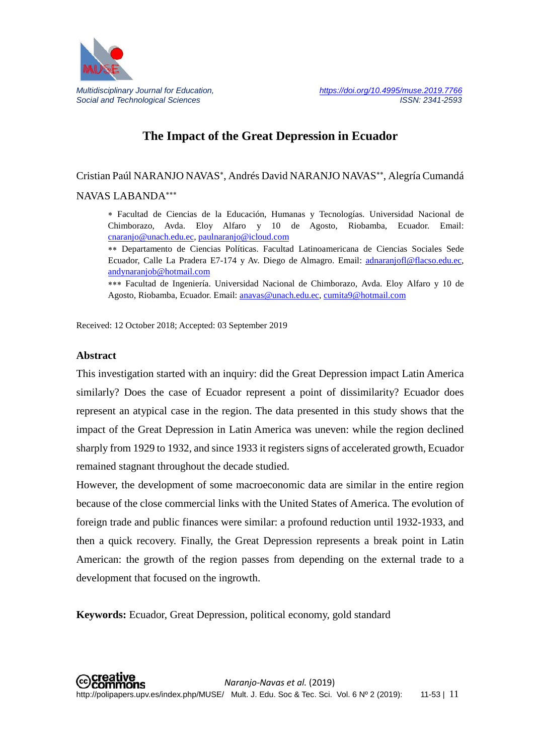

# **The Impact of the Great Depression in Ecuador**

Cristian Paúl NARANJO NAVAS<sup>∗</sup>, Andrés David NARANJO NAVAS∗∗ , Alegría Cumandá NAVAS LABANDA∗∗∗

∗ Facultad de Ciencias de la Educación, Humanas y Tecnologías. Universidad Nacional de Chimborazo, Avda. Eloy Alfaro y 10 de Agosto, Riobamba, Ecuador. Email: [cnaranjo@unach.edu.ec](mailto:cnaranjo@unach.edu.ec)*,* [paulnaranjo@icloud.com](mailto:paulnaranjo@icloud.com)

∗∗ Departamento de Ciencias Políticas. Facultad Latinoamericana de Ciencias Sociales Sede Ecuador, Calle La Pradera E7-174 y Av. Diego de Almagro. Email: [adnaranjofl@flacso.edu.ec](mailto:adnaranjofl@flacso.edu.ec)*,*  [andynaranjob@hotmail.com](mailto:andynaranjob@hotmail.com)

∗∗∗ Facultad de Ingeniería. Universidad Nacional de Chimborazo, Avda. Eloy Alfaro y 10 de Agosto, Riobamba, Ecuador. Email: [anavas@unach.edu.ec,](mailto:anavas@unach.edu.ec) [cumita9@hotmail.com](mailto:cumita9@hotmail.com)

Received: 12 October 2018; Accepted: 03 September 2019

#### **Abstract**

This investigation started with an inquiry: did the Great Depression impact Latin America similarly? Does the case of Ecuador represent a point of dissimilarity? Ecuador does represent an atypical case in the region. The data presented in this study shows that the impact of the Great Depression in Latin America was uneven: while the region declined sharply from 1929 to 1932, and since 1933 it registers signs of accelerated growth, Ecuador remained stagnant throughout the decade studied.

However, the development of some macroeconomic data are similar in the entire region because of the close commercial links with the United States of America. The evolution of foreign trade and public finances were similar: a profound reduction until 1932-1933, and then a quick recovery. Finally, the Great Depression represents a break point in Latin American: the growth of the region passes from depending on the external trade to a development that focused on the ingrowth.

**Keywords:** Ecuador, Great Depression, political economy, gold standard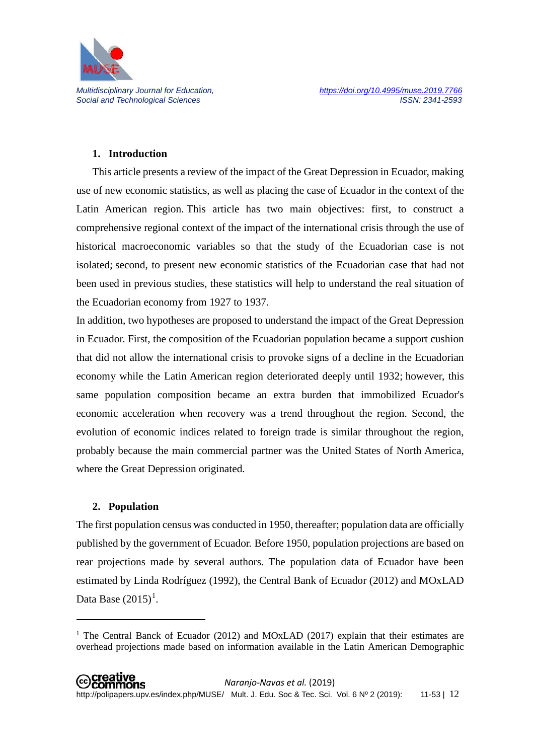

#### **1. Introduction**

This article presents a review of the impact of the Great Depression in Ecuador, making use of new economic statistics, as well as placing the case of Ecuador in the context of the Latin American region. This article has two main objectives: first, to construct a comprehensive regional context of the impact of the international crisis through the use of historical macroeconomic variables so that the study of the Ecuadorian case is not isolated; second, to present new economic statistics of the Ecuadorian case that had not been used in previous studies, these statistics will help to understand the real situation of the Ecuadorian economy from 1927 to 1937.

In addition, two hypotheses are proposed to understand the impact of the Great Depression in Ecuador. First, the composition of the Ecuadorian population became a support cushion that did not allow the international crisis to provoke signs of a decline in the Ecuadorian economy while the Latin American region deteriorated deeply until 1932; however, this same population composition became an extra burden that immobilized Ecuador's economic acceleration when recovery was a trend throughout the region. Second, the evolution of economic indices related to foreign trade is similar throughout the region, probably because the main commercial partner was the United States of North America, where the Great Depression originated.

#### **2. Population**

**.** 

The first population census was conducted in 1950, thereafter; population data are officially published by the government of Ecuador. Before 1950, population projections are based on rear projections made by several authors. The population data of Ecuador have been estimated by Linda Rodríguez (1992), the Central Bank of Ecuador (2012) and MOxLAD Data Base  $(2015)^1$  $(2015)^1$  $(2015)^1$ .

<span id="page-1-0"></span><sup>&</sup>lt;sup>1</sup> The Central Banck of Ecuador (2012) and MOxLAD (2017) explain that their estimates are overhead projections made based on information available in the Latin American Demographic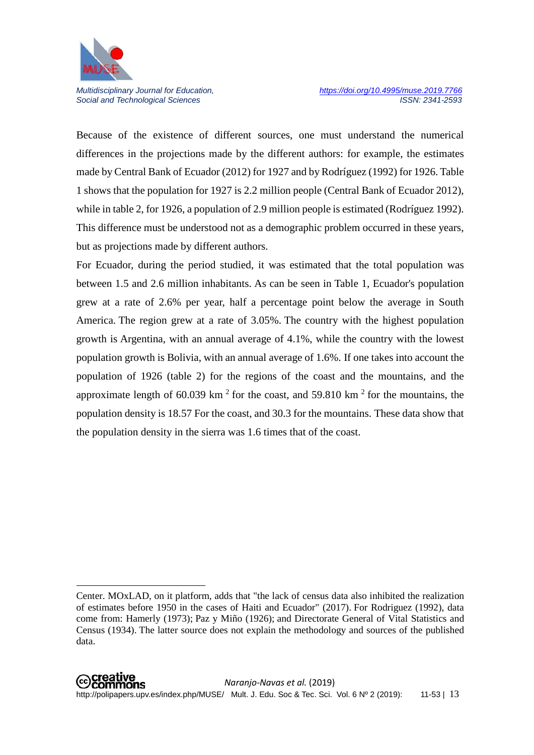

 $\overline{\phantom{a}}$ 

Social and Technological Sciences

Because of the existence of different sources, one must understand the numerical differences in the projections made by the different authors: for example, the estimates made by Central Bank of Ecuador (2012) for 1927 and by Rodríguez (1992) for 1926. Table 1 shows that the population for 1927 is 2.2 million people (Central Bank of Ecuador 2012), while in table 2, for 1926, a population of 2.9 million people is estimated (Rodríguez 1992). This difference must be understood not as a demographic problem occurred in these years, but as projections made by different authors.

For Ecuador, during the period studied, it was estimated that the total population was between 1.5 and 2.6 million inhabitants. As can be seen in Table 1, Ecuador's population grew at a rate of 2.6% per year, half a percentage point below the average in South America. The region grew at a rate of 3.05%. The country with the highest population growth is Argentina, with an annual average of 4.1%, while the country with the lowest population growth is Bolivia, with an annual average of 1.6%. If one takes into account the population of 1926 (table 2) for the regions of the coast and the mountains, and the approximate length of 60.039 km<sup>2</sup> for the coast, and 59.810 km<sup>2</sup> for the mountains, the population density is 18.57 For the coast, and 30.3 for the mountains. These data show that the population density in the sierra was 1.6 times that of the coast.

Center. MOxLAD, on it platform, adds that "the lack of census data also inhibited the realization of estimates before 1950 in the cases of Haiti and Ecuador" (2017). For Rodriguez (1992), data come from: Hamerly (1973); Paz y Miño (1926); and Directorate General of Vital Statistics and Census (1934). The latter source does not explain the methodology and sources of the published data.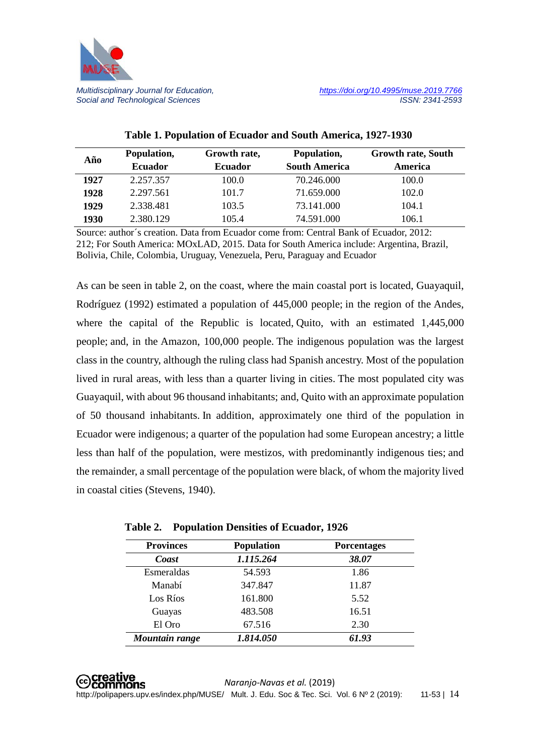

| Año  | Population,    | Growth rate,   | Population,          | <b>Growth rate, South</b> |
|------|----------------|----------------|----------------------|---------------------------|
|      | <b>Ecuador</b> | <b>Ecuador</b> | <b>South America</b> | America                   |
| 1927 | 2.257.357      | 100.0          | 70.246.000           | 100.0                     |
| 1928 | 2.297.561      | 101.7          | 71.659.000           | 102.0                     |
| 1929 | 2.338.481      | 103.5          | 73.141.000           | 104.1                     |
| 1930 | 2.380.129      | 105.4          | 74.591.000           | 106.1                     |

## **Table 1. Population of Ecuador and South America, 1927-1930**

Source: author´s creation. Data from Ecuador come from: Central Bank of Ecuador, 2012: 212; For South America: MOxLAD, 2015. Data for South America include: Argentina, Brazil, Bolivia, Chile, Colombia, Uruguay, Venezuela, Peru, Paraguay and Ecuador

As can be seen in table 2, on the coast, where the main coastal port is located, Guayaquil, Rodríguez (1992) estimated a population of 445,000 people; in the region of the Andes, where the capital of the Republic is located, Quito, with an estimated 1,445,000 people; and, in the Amazon, 100,000 people. The indigenous population was the largest class in the country, although the ruling class had Spanish ancestry. Most of the population lived in rural areas, with less than a quarter living in cities. The most populated city was Guayaquil, with about 96 thousand inhabitants; and, Quito with an approximate population of 50 thousand inhabitants. In addition, approximately one third of the population in Ecuador were indigenous; a quarter of the population had some European ancestry; a little less than half of the population, were mestizos, with predominantly indigenous ties; and the remainder, a small percentage of the population were black, of whom the majority lived in coastal cities (Stevens, 1940).

| <b>Provinces</b> | <b>Population</b> | <b>Porcentages</b> |
|------------------|-------------------|--------------------|
| Coast            | 1.115.264         | 38.07              |
| Esmeraldas       | 54.593            | 1.86               |
| Manabí           | 347.847           | 11.87              |
| Los Ríos         | 161.800           | 5.52               |
| Guayas           | 483.508           | 16.51              |
| El Oro           | 67.516            | 2.30               |
| Mountain range   | 1.814.050         | 61.93              |

|  |  |  | Table 2. Population Densities of Ecuador, 1926 |  |
|--|--|--|------------------------------------------------|--|
|--|--|--|------------------------------------------------|--|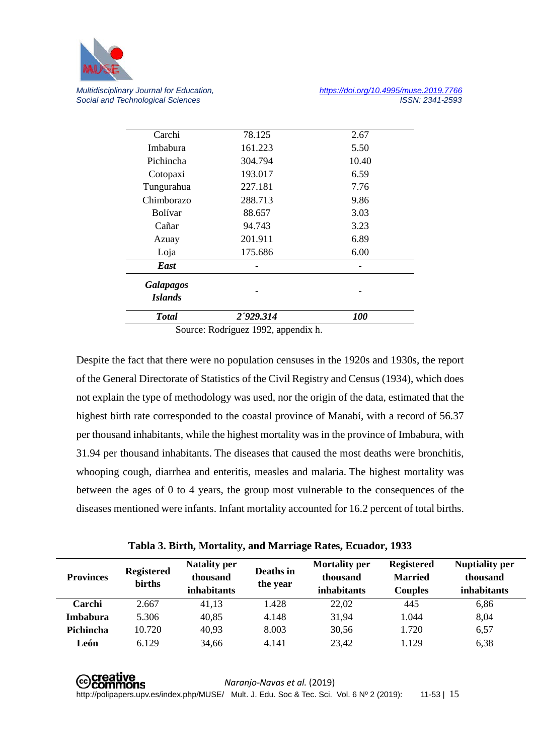

| <b>Total</b>                | 2'929.314 | <b>100</b> |
|-----------------------------|-----------|------------|
| Galapagos<br><b>Islands</b> |           |            |
| East                        |           |            |
| Loja                        | 175.686   | 6.00       |
| Azuay                       | 201.911   | 6.89       |
| Cañar                       | 94.743    | 3.23       |
| <b>Bolívar</b>              | 88.657    | 3.03       |
| Chimborazo                  | 288.713   | 9.86       |
| Tungurahua                  | 227.181   | 7.76       |
| Cotopaxi                    | 193.017   | 6.59       |
| Pichincha                   | 304.794   | 10.40      |
| Imbabura                    | 161.223   | 5.50       |
| Carchi                      | 78.125    | 2.67       |

Source: Rodríguez 1992, appendix h.

Despite the fact that there were no population censuses in the 1920s and 1930s, the report of the General Directorate of Statistics of the Civil Registry and Census (1934), which does not explain the type of methodology was used, nor the origin of the data, estimated that the highest birth rate corresponded to the coastal province of Manabí, with a record of 56.37 per thousand inhabitants, while the highest mortality was in the province of Imbabura, with 31.94 per thousand inhabitants. The diseases that caused the most deaths were bronchitis, whooping cough, diarrhea and enteritis, measles and malaria. The highest mortality was between the ages of 0 to 4 years, the group most vulnerable to the consequences of the diseases mentioned were infants. Infant mortality accounted for 16.2 percent of total births.

**Tabla 3. Birth, Mortality, and Marriage Rates, Ecuador, 1933**

| <b>Provinces</b> | <b>Registered</b><br>births | <b>Natality per</b><br>thousand<br><i>inhabitants</i> | Deaths in<br>the year | <b>Mortality per</b><br>thousand<br><i>inhabitants</i> | <b>Registered</b><br><b>Married</b><br><b>Couples</b> | <b>Nuptiality per</b><br>thousand<br><i>inhabitants</i> |
|------------------|-----------------------------|-------------------------------------------------------|-----------------------|--------------------------------------------------------|-------------------------------------------------------|---------------------------------------------------------|
| Carchi           | 2.667                       | 41,13                                                 | 1.428                 | 22,02                                                  | 445                                                   | 6,86                                                    |
| <b>Imbabura</b>  | 5.306                       | 40,85                                                 | 4.148                 | 31,94                                                  | 1.044                                                 | 8,04                                                    |
| Pichincha        | 10.720                      | 40,93                                                 | 8.003                 | 30,56                                                  | 1.720                                                 | 6,57                                                    |
| León             | 6.129                       | 34,66                                                 | 4.141                 | 23,42                                                  | 1.129                                                 | 6,38                                                    |

**⊙Creative**<br>
©Commons *Naranjo-Navas et al.* (2019) http://polipapers.upv.es/index.php/MUSE/ Mult. J. Edu. Soc & Tec. Sci. Vol. 6 Nº 2 (2019): 11-53 | 15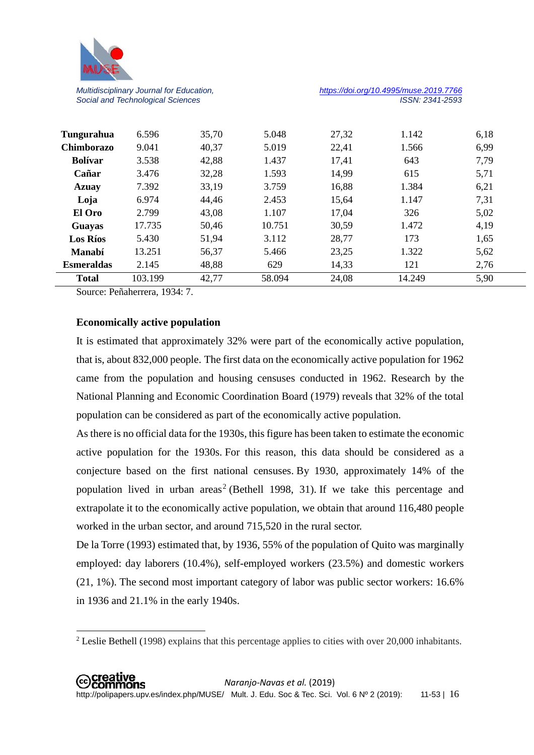

*Multidisciplinary Journal for Education, <https://doi.org/10.4995/muse.2019.7766>*

| <b>Esmeraldas</b><br><b>Total</b> | 2.145<br>103.199 | 48,88<br>42,77 | 629<br>58.094 | 14,33<br>24,08 | 121<br>14.249 | 2,76<br>5,90 |  |
|-----------------------------------|------------------|----------------|---------------|----------------|---------------|--------------|--|
| <b>Manabí</b>                     | 13.251           | 56,37          | 5.466         | 23,25          | 1.322         | 5,62         |  |
| <b>Los Ríos</b>                   | 5.430            | 51,94          | 3.112         | 28,77          | 173           | 1,65         |  |
| Guayas                            | 17.735           | 50,46          | 10.751        | 30,59          | 1.472         | 4,19         |  |
| El Oro                            | 2.799            | 43,08          | 1.107         | 17,04          | 326           | 5,02         |  |
| Loja                              | 6.974            | 44,46          | 2.453         | 15,64          | 1.147         | 7,31         |  |
| <b>Azuay</b>                      | 7.392            | 33,19          | 3.759         | 16,88          | 1.384         | 6,21         |  |
| Cañar                             | 3.476            | 32,28          | 1.593         | 14,99          | 615           | 5,71         |  |
| <b>Bolívar</b>                    | 3.538            | 42,88          | 1.437         | 17,41          | 643           | 7,79         |  |
| <b>Chimborazo</b>                 | 9.041            | 40,37          | 5.019         | 22,41          | 1.566         | 6,99         |  |
| Tungurahua                        | 6.596            | 35,70          | 5.048         | 27,32          | 1.142         | 6,18         |  |
|                                   |                  |                |               |                |               |              |  |

Source: Peñaherrera, 1934: 7.

 $\overline{\phantom{a}}$ 

#### **Economically active population**

It is estimated that approximately 32% were part of the economically active population, that is, about 832,000 people. The first data on the economically active population for 1962 came from the population and housing censuses conducted in 1962. Research by the National Planning and Economic Coordination Board (1979) reveals that 32% of the total population can be considered as part of the economically active population.

As there is no official data for the 1930s, this figure has been taken to estimate the economic active population for the 1930s. For this reason, this data should be considered as a conjecture based on the first national censuses. By 1930, approximately 14% of the population lived in urban areas<sup>[2](#page-5-0)</sup> (Bethell 1998, 31). If we take this percentage and extrapolate it to the economically active population, we obtain that around 116,480 people worked in the urban sector, and around 715,520 in the rural sector.

De la Torre (1993) estimated that, by 1936, 55% of the population of Quito was marginally employed: day laborers (10.4%), self-employed workers (23.5%) and domestic workers (21, 1%). The second most important category of labor was public sector workers: 16.6% in 1936 and 21.1% in the early 1940s.

<span id="page-5-0"></span><sup>2</sup> Leslie Bethell (1998) explains that this percentage applies to cities with over 20,000 inhabitants.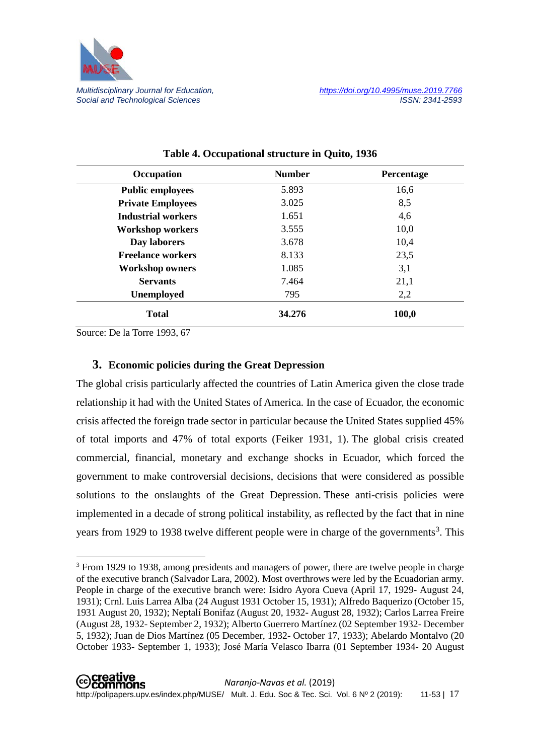

| Occupation                | <b>Number</b> | Percentage |
|---------------------------|---------------|------------|
| <b>Public employees</b>   | 5.893         | 16,6       |
| <b>Private Employees</b>  | 3.025         | 8,5        |
| <b>Industrial workers</b> | 1.651         | 4,6        |
| <b>Workshop workers</b>   | 3.555         | 10,0       |
| Day laborers              | 3.678         | 10,4       |
| <b>Freelance workers</b>  | 8.133         | 23,5       |
| <b>Workshop owners</b>    | 1.085         | 3,1        |
| <b>Servants</b>           | 7.464         | 21,1       |
| <b>Unemployed</b>         | 795           | 2,2        |
| <b>Total</b>              | 34.276        | 100,0      |

| Table 4. Occupational structure in Quito, 1936 |  |
|------------------------------------------------|--|
|                                                |  |

Source: De la Torre 1993, 67

<u>.</u>

### **3. Economic policies during the Great Depression**

The global crisis particularly affected the countries of Latin America given the close trade relationship it had with the United States of America. In the case of Ecuador, the economic crisis affected the foreign trade sector in particular because the United States supplied 45% of total imports and 47% of total exports (Feiker 1931, 1). The global crisis created commercial, financial, monetary and exchange shocks in Ecuador, which forced the government to make controversial decisions, decisions that were considered as possible solutions to the onslaughts of the Great Depression. These anti-crisis policies were implemented in a decade of strong political instability, as reflected by the fact that in nine years from 1929 to 19[3](#page-6-0)8 twelve different people were in charge of the governments<sup>3</sup>. This

<span id="page-6-0"></span><sup>&</sup>lt;sup>3</sup> From 1929 to 1938, among presidents and managers of power, there are twelve people in charge of the executive branch (Salvador Lara, 2002). Most overthrows were led by the Ecuadorian army. People in charge of the executive branch were: Isidro Ayora Cueva (April 17, 1929- August 24, 1931); Crnl. Luis Larrea Alba (24 August 1931 October 15, 1931); Alfredo Baquerizo (October 15, 1931 August 20, 1932); Neptalí Bonifaz (August 20, 1932- August 28, 1932); Carlos Larrea Freire (August 28, 1932- September 2, 1932); Alberto Guerrero Martínez (02 September 1932- December 5, 1932); Juan de Dios Martínez (05 December, 1932- October 17, 1933); Abelardo Montalvo (20 October 1933- September 1, 1933); José María Velasco Ibarra (01 September 1934- 20 August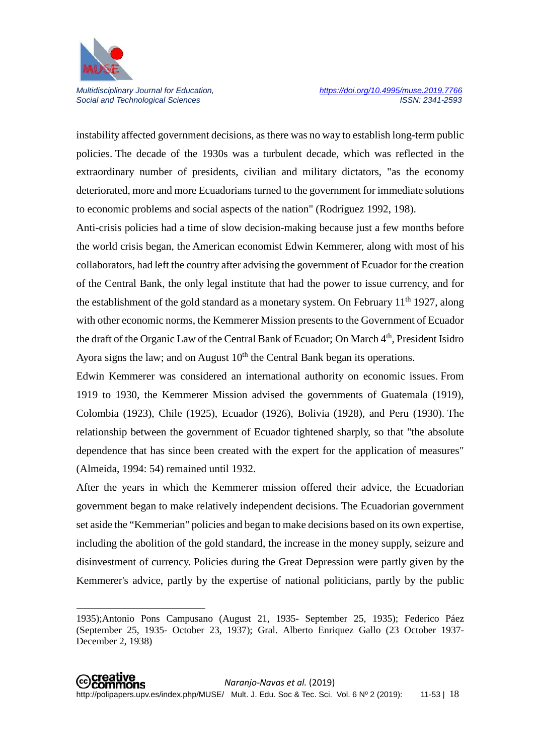

**.** 

Social and Technological Sciences

instability affected government decisions, as there was no way to establish long-term public policies. The decade of the 1930s was a turbulent decade, which was reflected in the extraordinary number of presidents, civilian and military dictators, "as the economy deteriorated, more and more Ecuadorians turned to the government for immediate solutions to economic problems and social aspects of the nation" (Rodríguez 1992, 198).

Anti-crisis policies had a time of slow decision-making because just a few months before the world crisis began, the American economist Edwin Kemmerer, along with most of his collaborators, had left the country after advising the government of Ecuador for the creation of the Central Bank, the only legal institute that had the power to issue currency, and for the establishment of the gold standard as a monetary system. On February  $11<sup>th</sup> 1927$ , along with other economic norms, the Kemmerer Mission presents to the Government of Ecuador the draft of the Organic Law of the Central Bank of Ecuador; On March 4<sup>th</sup>, President Isidro Ayora signs the law; and on August  $10<sup>th</sup>$  the Central Bank began its operations.

Edwin Kemmerer was considered an international authority on economic issues. From 1919 to 1930, the Kemmerer Mission advised the governments of Guatemala (1919), Colombia (1923), Chile (1925), Ecuador (1926), Bolivia (1928), and Peru (1930). The relationship between the government of Ecuador tightened sharply, so that "the absolute dependence that has since been created with the expert for the application of measures" (Almeida, 1994: 54) remained until 1932.

After the years in which the Kemmerer mission offered their advice, the Ecuadorian government began to make relatively independent decisions. The Ecuadorian government set aside the "Kemmerian" policies and began to make decisions based on its own expertise, including the abolition of the gold standard, the increase in the money supply, seizure and disinvestment of currency. Policies during the Great Depression were partly given by the Kemmerer's advice, partly by the expertise of national politicians, partly by the public

<sup>1935);</sup>Antonio Pons Campusano (August 21, 1935- September 25, 1935); Federico Páez (September 25, 1935- October 23, 1937); Gral. Alberto Enriquez Gallo (23 October 1937- December 2, 1938)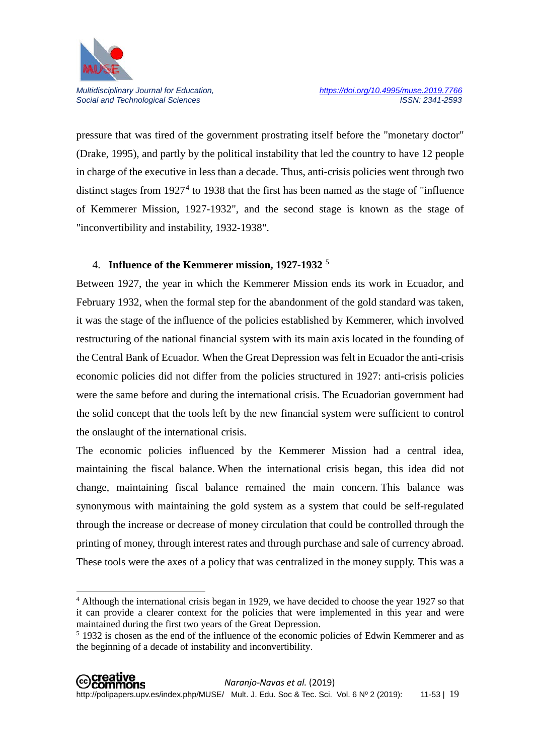

 $\overline{a}$ 

Social and Technological Sciences

pressure that was tired of the government prostrating itself before the "monetary doctor" (Drake, 1995), and partly by the political instability that led the country to have 12 people in charge of the executive in less than a decade. Thus, anti-crisis policies went through two distinct stages from  $1927<sup>4</sup>$  $1927<sup>4</sup>$  $1927<sup>4</sup>$  to 1938 that the first has been named as the stage of "influence" of Kemmerer Mission, 1927-1932", and the second stage is known as the stage of "inconvertibility and instability, 1932-1938".

# 4. **Influence of the Kemmerer mission, 1927-1932** [5](#page-8-1)

Between 1927, the year in which the Kemmerer Mission ends its work in Ecuador, and February 1932, when the formal step for the abandonment of the gold standard was taken, it was the stage of the influence of the policies established by Kemmerer, which involved restructuring of the national financial system with its main axis located in the founding of the Central Bank of Ecuador. When the Great Depression was felt in Ecuador the anti-crisis economic policies did not differ from the policies structured in 1927: anti-crisis policies were the same before and during the international crisis. The Ecuadorian government had the solid concept that the tools left by the new financial system were sufficient to control the onslaught of the international crisis.

The economic policies influenced by the Kemmerer Mission had a central idea, maintaining the fiscal balance. When the international crisis began, this idea did not change, maintaining fiscal balance remained the main concern. This balance was synonymous with maintaining the gold system as a system that could be self-regulated through the increase or decrease of money circulation that could be controlled through the printing of money, through interest rates and through purchase and sale of currency abroad. These tools were the axes of a policy that was centralized in the money supply. This was a

<span id="page-8-0"></span><sup>&</sup>lt;sup>4</sup> Although the international crisis began in 1929, we have decided to choose the year 1927 so that it can provide a clearer context for the policies that were implemented in this year and were maintained during the first two years of the Great Depression.

<span id="page-8-1"></span><sup>&</sup>lt;sup>5</sup> 1932 is chosen as the end of the influence of the economic policies of Edwin Kemmerer and as the beginning of a decade of instability and inconvertibility.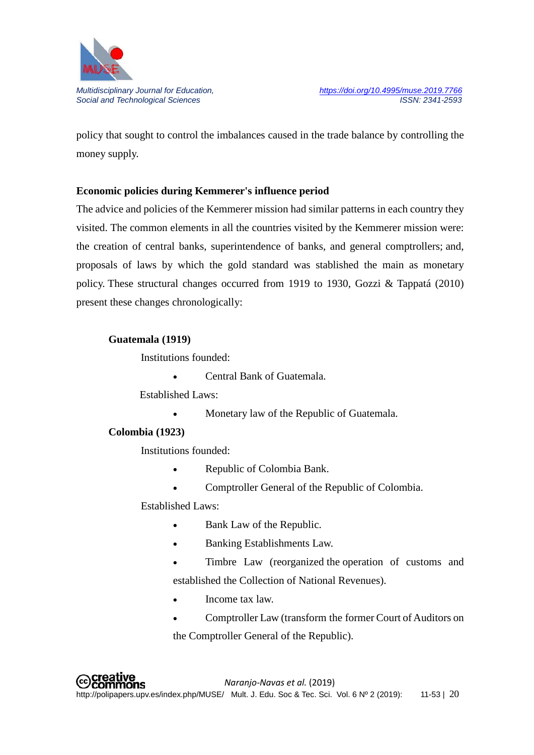

policy that sought to control the imbalances caused in the trade balance by controlling the money supply.

# **Economic policies during Kemmerer's influence period**

The advice and policies of the Kemmerer mission had similar patterns in each country they visited. The common elements in all the countries visited by the Kemmerer mission were: the creation of central banks, superintendence of banks, and general comptrollers; and, proposals of laws by which the gold standard was stablished the main as monetary policy. These structural changes occurred from 1919 to 1930, Gozzi & Tappatá (2010) present these changes chronologically:

#### **Guatemala (1919)**

Institutions founded:

• Central Bank of Guatemala.

Established Laws:

• Monetary law of the Republic of Guatemala.

#### **Colombia (1923)**

Institutions founded:

- Republic of Colombia Bank.
- Comptroller General of the Republic of Colombia.

Established Laws:

- Bank Law of the Republic.
- Banking Establishments Law.
- Timbre Law (reorganized the operation of customs and established the Collection of National Revenues).
- Income tax law.
- Comptroller Law (transform the former Court of Auditors on the Comptroller General of the Republic).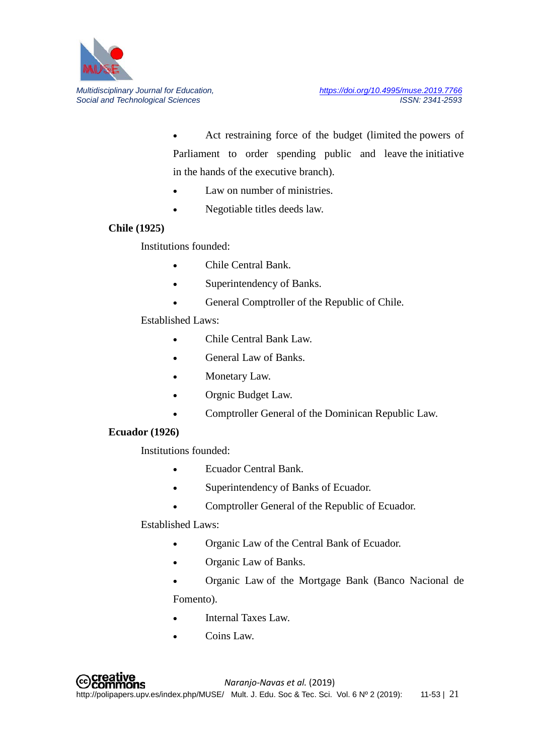

• Act restraining force of the budget (limited the powers of Parliament to order spending public and leave the initiative in the hands of the executive branch).

- Law on number of ministries.
- Negotiable titles deeds law.

### **Chile (1925)**

Institutions founded:

- Chile Central Bank.
- Superintendency of Banks.
- General Comptroller of the Republic of Chile.

### Established Laws:

- Chile Central Bank Law.
- **General Law of Banks.**
- Monetary Law.
- Orgnic Budget Law.
- Comptroller General of the Dominican Republic Law.

#### **Ecuador (1926)**

Institutions founded:

- Ecuador Central Bank.
- Superintendency of Banks of Ecuador.
- Comptroller General of the Republic of Ecuador.

### Established Laws:

- Organic Law of the Central Bank of Ecuador.
- Organic Law of Banks.
- Organic Law of the Mortgage Bank (Banco Nacional de Fomento).
- Internal Taxes Law.
- Coins Law.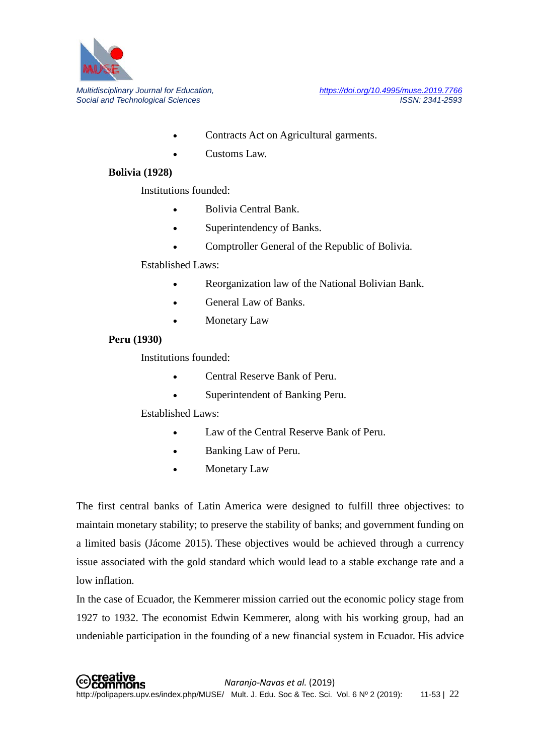

- Contracts Act on Agricultural garments.
- Customs Law.

### **Bolivia (1928)**

Institutions founded:

- Bolivia Central Bank.
- Superintendency of Banks.
- Comptroller General of the Republic of Bolivia.

### Established Laws:

- Reorganization law of the National Bolivian Bank.
- General Law of Banks.
- Monetary Law

### **Peru (1930)**

Institutions founded:

- Central Reserve Bank of Peru.
- Superintendent of Banking Peru.

Established Laws:

- Law of the Central Reserve Bank of Peru.
- Banking Law of Peru.
- Monetary Law

The first central banks of Latin America were designed to fulfill three objectives: to maintain monetary stability; to preserve the stability of banks; and government funding on a limited basis (Jácome 2015). These objectives would be achieved through a currency issue associated with the gold standard which would lead to a stable exchange rate and a low inflation.

In the case of Ecuador, the Kemmerer mission carried out the economic policy stage from 1927 to 1932. The economist Edwin Kemmerer, along with his working group, had an undeniable participation in the founding of a new financial system in Ecuador. His advice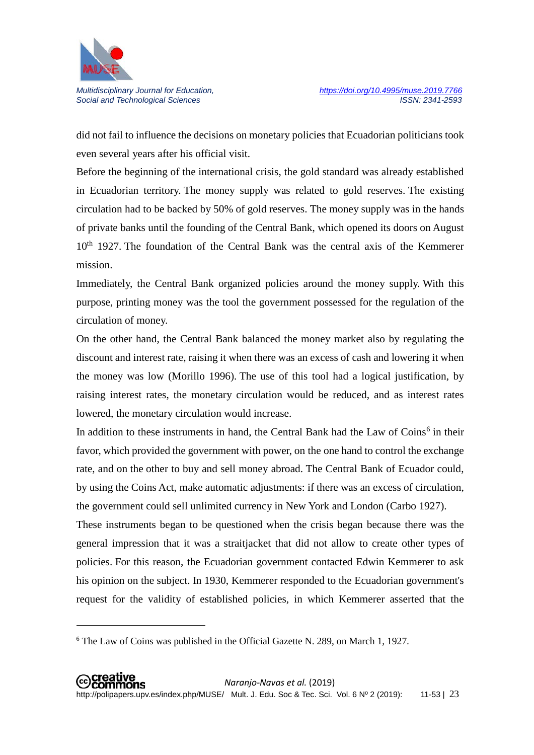

 $\overline{a}$ 

Social and Technological Sciences

did not fail to influence the decisions on monetary policies that Ecuadorian politicians took even several years after his official visit.

Before the beginning of the international crisis, the gold standard was already established in Ecuadorian territory. The money supply was related to gold reserves. The existing circulation had to be backed by 50% of gold reserves. The money supply was in the hands of private banks until the founding of the Central Bank, which opened its doors on August 10<sup>th</sup> 1927. The foundation of the Central Bank was the central axis of the Kemmerer mission.

Immediately, the Central Bank organized policies around the money supply. With this purpose, printing money was the tool the government possessed for the regulation of the circulation of money.

On the other hand, the Central Bank balanced the money market also by regulating the discount and interest rate, raising it when there was an excess of cash and lowering it when the money was low (Morillo 1996). The use of this tool had a logical justification, by raising interest rates, the monetary circulation would be reduced, and as interest rates lowered, the monetary circulation would increase.

In addition to these instruments in hand, the Central Bank had the Law of  $\text{Coins}^6$  $\text{Coins}^6$  in their favor, which provided the government with power, on the one hand to control the exchange rate, and on the other to buy and sell money abroad. The Central Bank of Ecuador could, by using the Coins Act, make automatic adjustments: if there was an excess of circulation, the government could sell unlimited currency in New York and London (Carbo 1927).

These instruments began to be questioned when the crisis began because there was the general impression that it was a straitjacket that did not allow to create other types of policies. For this reason, the Ecuadorian government contacted Edwin Kemmerer to ask his opinion on the subject. In 1930, Kemmerer responded to the Ecuadorian government's request for the validity of established policies, in which Kemmerer asserted that the

<span id="page-12-0"></span><sup>6</sup> The Law of Coins was published in the Official Gazette N. 289, on March 1, 1927.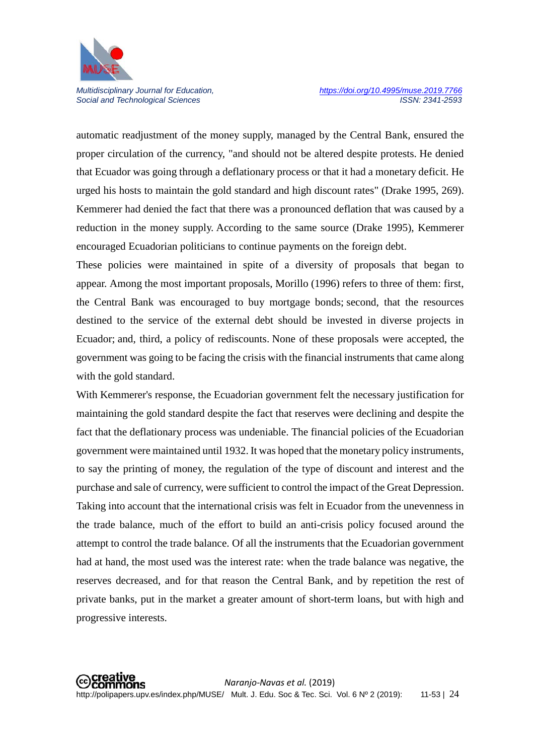

automatic readjustment of the money supply, managed by the Central Bank, ensured the proper circulation of the currency, "and should not be altered despite protests. He denied that Ecuador was going through a deflationary process or that it had a monetary deficit. He urged his hosts to maintain the gold standard and high discount rates" (Drake 1995, 269). Kemmerer had denied the fact that there was a pronounced deflation that was caused by a reduction in the money supply. According to the same source (Drake 1995), Kemmerer encouraged Ecuadorian politicians to continue payments on the foreign debt.

These policies were maintained in spite of a diversity of proposals that began to appear. Among the most important proposals, Morillo (1996) refers to three of them: first, the Central Bank was encouraged to buy mortgage bonds; second, that the resources destined to the service of the external debt should be invested in diverse projects in Ecuador; and, third, a policy of rediscounts. None of these proposals were accepted, the government was going to be facing the crisis with the financial instruments that came along with the gold standard.

With Kemmerer's response, the Ecuadorian government felt the necessary justification for maintaining the gold standard despite the fact that reserves were declining and despite the fact that the deflationary process was undeniable. The financial policies of the Ecuadorian government were maintained until 1932. It was hoped that the monetary policy instruments, to say the printing of money, the regulation of the type of discount and interest and the purchase and sale of currency, were sufficient to control the impact of the Great Depression. Taking into account that the international crisis was felt in Ecuador from the unevenness in the trade balance, much of the effort to build an anti-crisis policy focused around the attempt to control the trade balance. Of all the instruments that the Ecuadorian government had at hand, the most used was the interest rate: when the trade balance was negative, the reserves decreased, and for that reason the Central Bank, and by repetition the rest of private banks, put in the market a greater amount of short-term loans, but with high and progressive interests.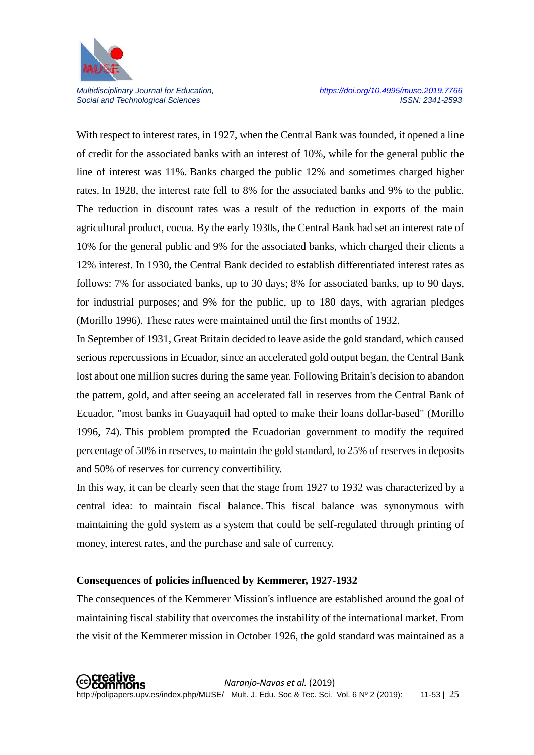

With respect to interest rates, in 1927, when the Central Bank was founded, it opened a line of credit for the associated banks with an interest of 10%, while for the general public the line of interest was 11%. Banks charged the public 12% and sometimes charged higher rates. In 1928, the interest rate fell to 8% for the associated banks and 9% to the public. The reduction in discount rates was a result of the reduction in exports of the main agricultural product, cocoa. By the early 1930s, the Central Bank had set an interest rate of 10% for the general public and 9% for the associated banks, which charged their clients a 12% interest. In 1930, the Central Bank decided to establish differentiated interest rates as follows: 7% for associated banks, up to 30 days; 8% for associated banks, up to 90 days, for industrial purposes; and 9% for the public, up to 180 days, with agrarian pledges (Morillo 1996). These rates were maintained until the first months of 1932.

In September of 1931, Great Britain decided to leave aside the gold standard, which caused serious repercussions in Ecuador, since an accelerated gold output began, the Central Bank lost about one million sucres during the same year. Following Britain's decision to abandon the pattern, gold, and after seeing an accelerated fall in reserves from the Central Bank of Ecuador, "most banks in Guayaquil had opted to make their loans dollar-based" (Morillo 1996, 74). This problem prompted the Ecuadorian government to modify the required percentage of 50% in reserves, to maintain the gold standard, to 25% of reserves in deposits and 50% of reserves for currency convertibility.

In this way, it can be clearly seen that the stage from 1927 to 1932 was characterized by a central idea: to maintain fiscal balance. This fiscal balance was synonymous with maintaining the gold system as a system that could be self-regulated through printing of money, interest rates, and the purchase and sale of currency.

#### **Consequences of policies influenced by Kemmerer, 1927-1932**

The consequences of the Kemmerer Mission's influence are established around the goal of maintaining fiscal stability that overcomes the instability of the international market. From the visit of the Kemmerer mission in October 1926, the gold standard was maintained as a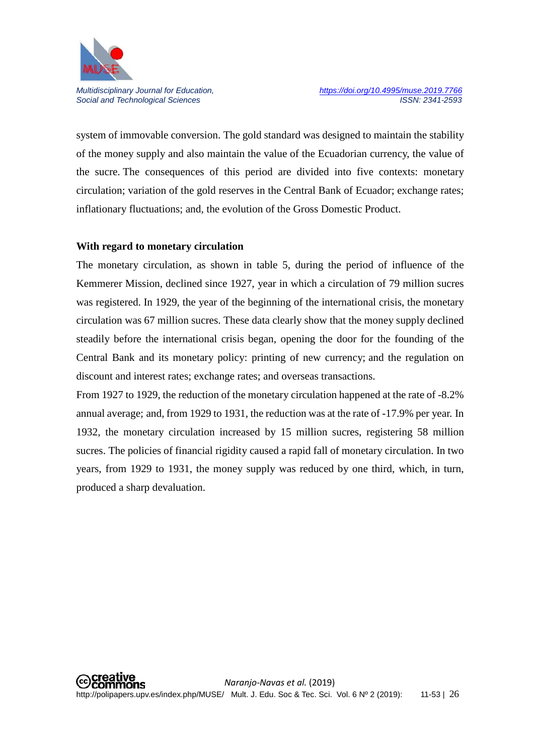

system of immovable conversion. The gold standard was designed to maintain the stability of the money supply and also maintain the value of the Ecuadorian currency, the value of the sucre. The consequences of this period are divided into five contexts: monetary circulation; variation of the gold reserves in the Central Bank of Ecuador; exchange rates; inflationary fluctuations; and, the evolution of the Gross Domestic Product.

#### **With regard to monetary circulation**

The monetary circulation, as shown in table 5, during the period of influence of the Kemmerer Mission, declined since 1927, year in which a circulation of 79 million sucres was registered. In 1929, the year of the beginning of the international crisis, the monetary circulation was 67 million sucres. These data clearly show that the money supply declined steadily before the international crisis began, opening the door for the founding of the Central Bank and its monetary policy: printing of new currency; and the regulation on discount and interest rates; exchange rates; and overseas transactions.

From 1927 to 1929, the reduction of the monetary circulation happened at the rate of -8.2% annual average; and, from 1929 to 1931, the reduction was at the rate of -17.9% per year. In 1932, the monetary circulation increased by 15 million sucres, registering 58 million sucres. The policies of financial rigidity caused a rapid fall of monetary circulation. In two years, from 1929 to 1931, the money supply was reduced by one third, which, in turn, produced a sharp devaluation.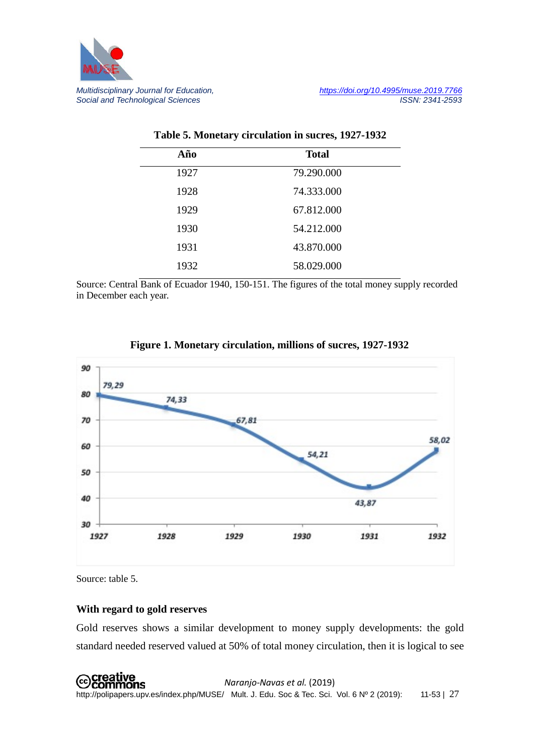

| Año  | <b>Total</b> |  |
|------|--------------|--|
| 1927 | 79.290.000   |  |
| 1928 | 74.333.000   |  |
| 1929 | 67.812.000   |  |
| 1930 | 54.212.000   |  |
| 1931 | 43.870.000   |  |
| 1932 | 58.029.000   |  |

#### **Table 5. Monetary circulation in sucres, 1927-1932**

Source: Central Bank of Ecuador 1940, 150-151. The figures of the total money supply recorded in December each year.





Source: table 5.

#### **With regard to gold reserves**

Gold reserves shows a similar development to money supply developments: the gold standard needed reserved valued at 50% of total money circulation, then it is logical to see

 *Naranjo-Navas et al.* (2019) http://polipapers.upv.es/index.php/MUSE/ Mult. J. Edu. Soc & Tec. Sci. Vol. 6 Nº 2 (2019): 11-53 | 27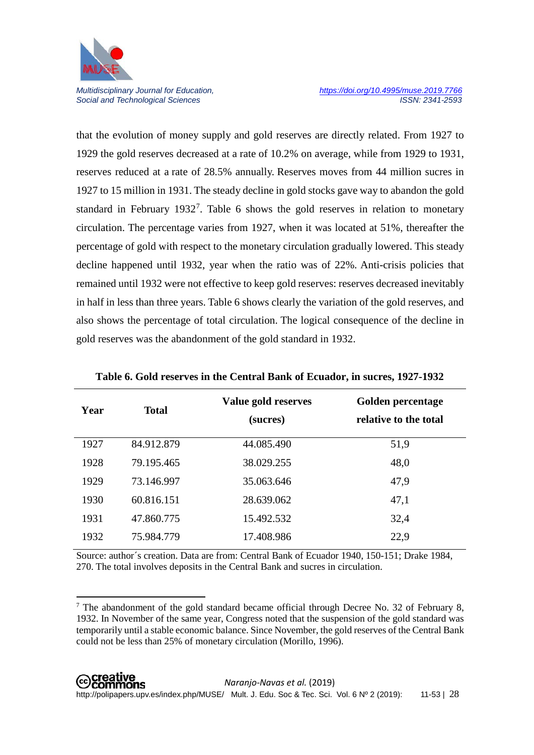

 $\overline{a}$ 

Social and Technological Sciences

that the evolution of money supply and gold reserves are directly related. From 1927 to 1929 the gold reserves decreased at a rate of 10.2% on average, while from 1929 to 1931, reserves reduced at a rate of 28.5% annually. Reserves moves from 44 million sucres in 1927 to 15 million in 1931. The steady decline in gold stocks gave way to abandon the gold standard in February 1932<sup>[7](#page-17-0)</sup>. Table 6 shows the gold reserves in relation to monetary circulation. The percentage varies from 1927, when it was located at 51%, thereafter the percentage of gold with respect to the monetary circulation gradually lowered. This steady decline happened until 1932, year when the ratio was of 22%. Anti-crisis policies that remained until 1932 were not effective to keep gold reserves: reserves decreased inevitably in half in less than three years. Table 6 shows clearly the variation of the gold reserves, and also shows the percentage of total circulation. The logical consequence of the decline in gold reserves was the abandonment of the gold standard in 1932.

| Year | <b>Total</b> | Value gold reserves<br>(sucres) | Golden percentage<br>relative to the total |
|------|--------------|---------------------------------|--------------------------------------------|
| 1927 | 84.912.879   | 44.085.490                      | 51,9                                       |
| 1928 | 79.195.465   | 38.029.255                      | 48,0                                       |
| 1929 | 73.146.997   | 35.063.646                      | 47,9                                       |
| 1930 | 60.816.151   | 28.639.062                      | 47,1                                       |
| 1931 | 47.860.775   | 15.492.532                      | 32,4                                       |
| 1932 | 75.984.779   | 17.408.986                      | 22,9                                       |

**Table 6. Gold reserves in the Central Bank of Ecuador, in sucres, 1927-1932**

Source: author´s creation. Data are from: Central Bank of Ecuador 1940, 150-151; Drake 1984, 270. The total involves deposits in the Central Bank and sucres in circulation.

<span id="page-17-0"></span><sup>&</sup>lt;sup>7</sup> The abandonment of the gold standard became official through Decree No. 32 of February 8, 1932. In November of the same year, Congress noted that the suspension of the gold standard was temporarily until a stable economic balance. Since November, the gold reserves of the Central Bank could not be less than 25% of monetary circulation (Morillo, 1996).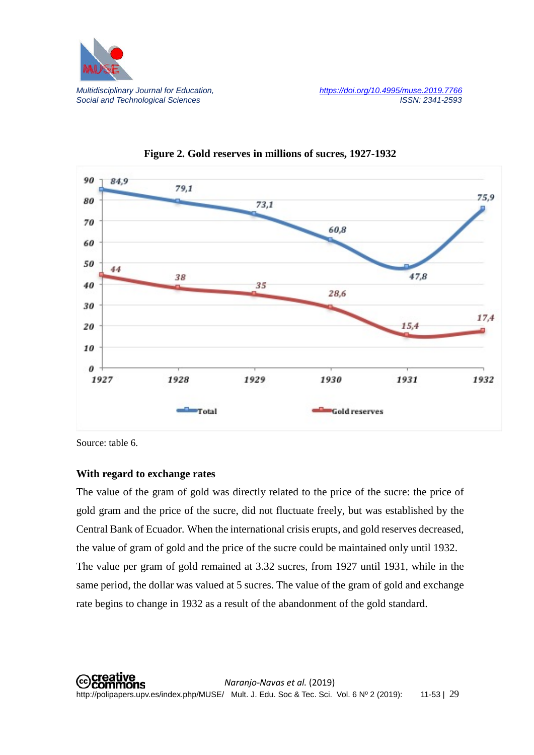



#### **Figure 2. Gold reserves in millions of sucres, 1927-1932**

Source: table 6.

### **With regard to exchange rates**

The value of the gram of gold was directly related to the price of the sucre: the price of gold gram and the price of the sucre, did not fluctuate freely, but was established by the Central Bank of Ecuador. When the international crisis erupts, and gold reserves decreased, the value of gram of gold and the price of the sucre could be maintained only until 1932. The value per gram of gold remained at 3.32 sucres, from 1927 until 1931, while in the same period, the dollar was valued at 5 sucres. The value of the gram of gold and exchange rate begins to change in 1932 as a result of the abandonment of the gold standard.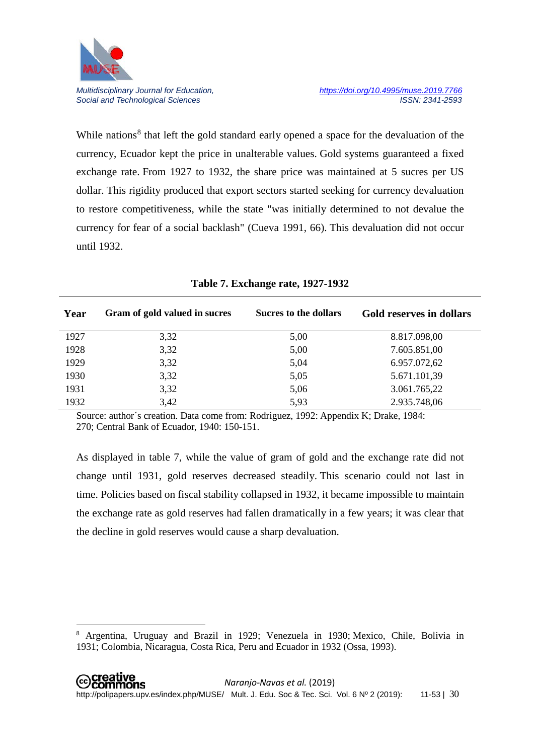

**.** 

Social and Technological Sciences

While nations<sup>[8](#page-19-0)</sup> that left the gold standard early opened a space for the devaluation of the currency, Ecuador kept the price in unalterable values. Gold systems guaranteed a fixed exchange rate. From 1927 to 1932, the share price was maintained at 5 sucres per US dollar. This rigidity produced that export sectors started seeking for currency devaluation to restore competitiveness, while the state "was initially determined to not devalue the currency for fear of a social backlash" (Cueva 1991, 66). This devaluation did not occur until 1932.

| Year | Gram of gold valued in sucres | Sucres to the dollars | Gold reserves in dollars |
|------|-------------------------------|-----------------------|--------------------------|
| 1927 | 3,32                          | 5,00                  | 8.817.098,00             |
| 1928 | 3,32                          | 5,00                  | 7.605.851,00             |
| 1929 | 3,32                          | 5,04                  | 6.957.072,62             |
| 1930 | 3,32                          | 5,05                  | 5.671.101,39             |
| 1931 | 3,32                          | 5,06                  | 3.061.765,22             |
| 1932 | 3,42                          | 5,93                  | 2.935.748,06             |

#### **Table 7. Exchange rate, 1927-1932**

Source: author´s creation. Data come from: Rodriguez, 1992: Appendix K; Drake, 1984: 270; Central Bank of Ecuador, 1940: 150-151.

As displayed in table 7, while the value of gram of gold and the exchange rate did not change until 1931, gold reserves decreased steadily. This scenario could not last in time. Policies based on fiscal stability collapsed in 1932, it became impossible to maintain the exchange rate as gold reserves had fallen dramatically in a few years; it was clear that the decline in gold reserves would cause a sharp devaluation.

<span id="page-19-0"></span><sup>8</sup> Argentina, Uruguay and Brazil in 1929; Venezuela in 1930; Mexico, Chile, Bolivia in 1931; Colombia, Nicaragua, Costa Rica, Peru and Ecuador in 1932 (Ossa, 1993).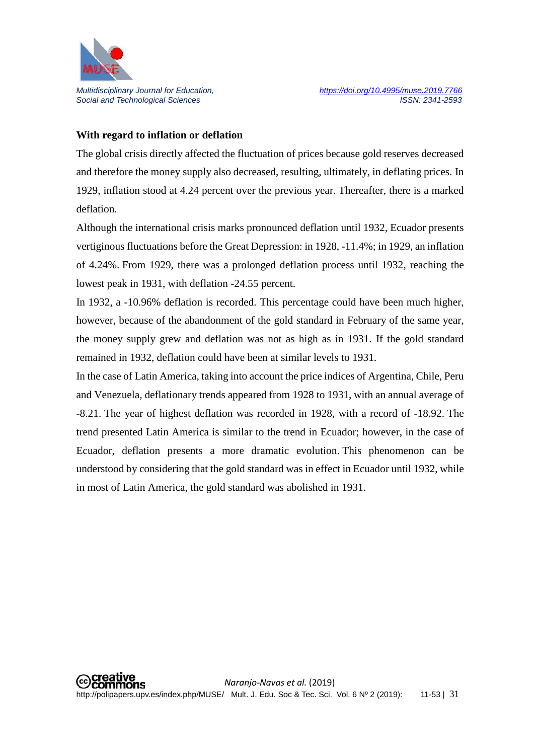

## **With regard to inflation or deflation**

The global crisis directly affected the fluctuation of prices because gold reserves decreased and therefore the money supply also decreased, resulting, ultimately, in deflating prices. In 1929, inflation stood at 4.24 percent over the previous year. Thereafter, there is a marked deflation.

Although the international crisis marks pronounced deflation until 1932, Ecuador presents vertiginous fluctuations before the Great Depression: in 1928, -11.4%; in 1929, an inflation of 4.24%. From 1929, there was a prolonged deflation process until 1932, reaching the lowest peak in 1931, with deflation -24.55 percent.

In 1932, a -10.96% deflation is recorded. This percentage could have been much higher, however, because of the abandonment of the gold standard in February of the same year, the money supply grew and deflation was not as high as in 1931. If the gold standard remained in 1932, deflation could have been at similar levels to 1931.

In the case of Latin America, taking into account the price indices of Argentina, Chile, Peru and Venezuela, deflationary trends appeared from 1928 to 1931, with an annual average of -8.21. The year of highest deflation was recorded in 1928, with a record of -18.92. The trend presented Latin America is similar to the trend in Ecuador; however, in the case of Ecuador, deflation presents a more dramatic evolution. This phenomenon can be understood by considering that the gold standard was in effect in Ecuador until 1932, while in most of Latin America, the gold standard was abolished in 1931.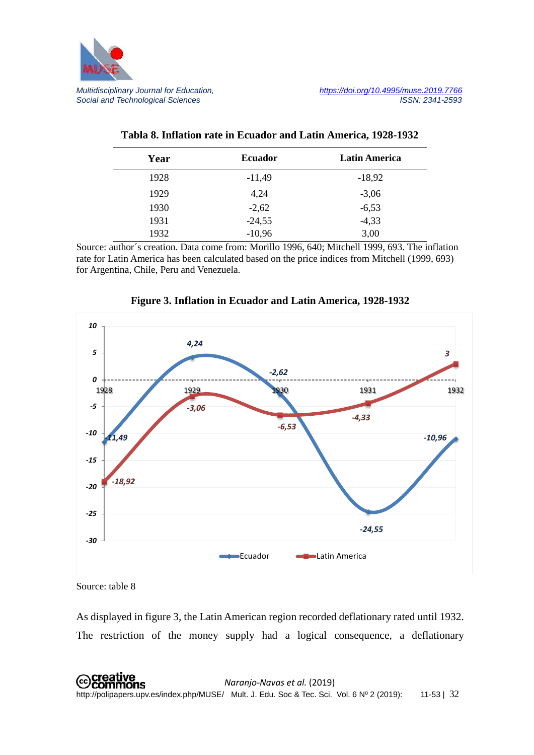

| Year | <b>Ecuador</b> | <b>Latin America</b> |
|------|----------------|----------------------|
| 1928 | $-11,49$       | $-18,92$             |
| 1929 | 4,24           | $-3,06$              |
| 1930 | $-2,62$        | $-6,53$              |
| 1931 | $-24,55$       | $-4,33$              |
| 1932 | $-10,96$       | 3,00                 |

#### **Tabla 8. Inflation rate in Ecuador and Latin America, 1928-1932**

Source: author´s creation. Data come from: Morillo 1996, 640; Mitchell 1999, 693. The inflation rate for Latin America has been calculated based on the price indices from Mitchell (1999, 693) for Argentina, Chile, Peru and Venezuela.



**Figure 3. Inflation in Ecuador and Latin America, 1928-1932**

Source: table 8

As displayed in figure 3, the Latin American region recorded deflationary rated until 1932. The restriction of the money supply had a logical consequence, a deflationary

 *Naranjo-Navas et al.* (2019) http://polipapers.upv.es/index.php/MUSE/ Mult. J. Edu. Soc & Tec. Sci. Vol. 6 Nº 2 (2019): 11-53 | 32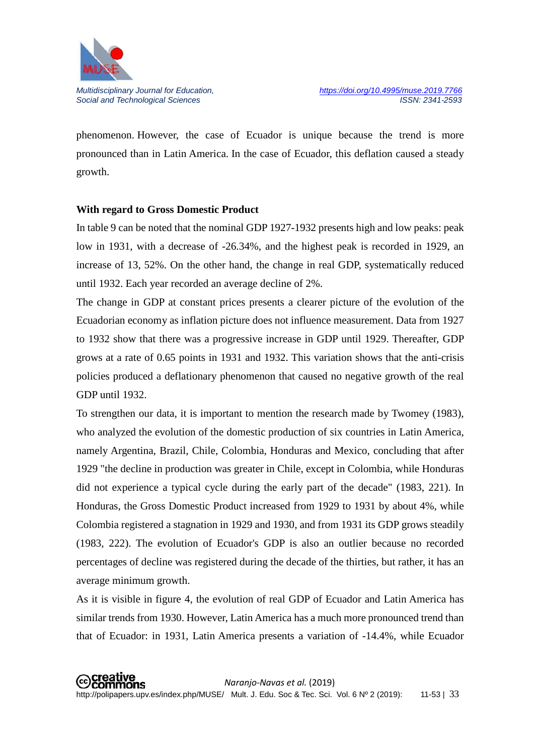

phenomenon. However, the case of Ecuador is unique because the trend is more pronounced than in Latin America. In the case of Ecuador, this deflation caused a steady growth.

#### **With regard to Gross Domestic Product**

In table 9 can be noted that the nominal GDP 1927-1932 presents high and low peaks: peak low in 1931, with a decrease of -26.34%, and the highest peak is recorded in 1929, an increase of 13, 52%. On the other hand, the change in real GDP, systematically reduced until 1932. Each year recorded an average decline of 2%.

The change in GDP at constant prices presents a clearer picture of the evolution of the Ecuadorian economy as inflation picture does not influence measurement. Data from 1927 to 1932 show that there was a progressive increase in GDP until 1929. Thereafter, GDP grows at a rate of 0.65 points in 1931 and 1932. This variation shows that the anti-crisis policies produced a deflationary phenomenon that caused no negative growth of the real GDP until 1932.

To strengthen our data, it is important to mention the research made by Twomey (1983), who analyzed the evolution of the domestic production of six countries in Latin America, namely Argentina, Brazil, Chile, Colombia, Honduras and Mexico, concluding that after 1929 "the decline in production was greater in Chile, except in Colombia, while Honduras did not experience a typical cycle during the early part of the decade" (1983, 221). In Honduras, the Gross Domestic Product increased from 1929 to 1931 by about 4%, while Colombia registered a stagnation in 1929 and 1930, and from 1931 its GDP grows steadily (1983, 222). The evolution of Ecuador's GDP is also an outlier because no recorded percentages of decline was registered during the decade of the thirties, but rather, it has an average minimum growth.

As it is visible in figure 4, the evolution of real GDP of Ecuador and Latin America has similar trends from 1930. However, Latin America has a much more pronounced trend than that of Ecuador: in 1931, Latin America presents a variation of -14.4%, while Ecuador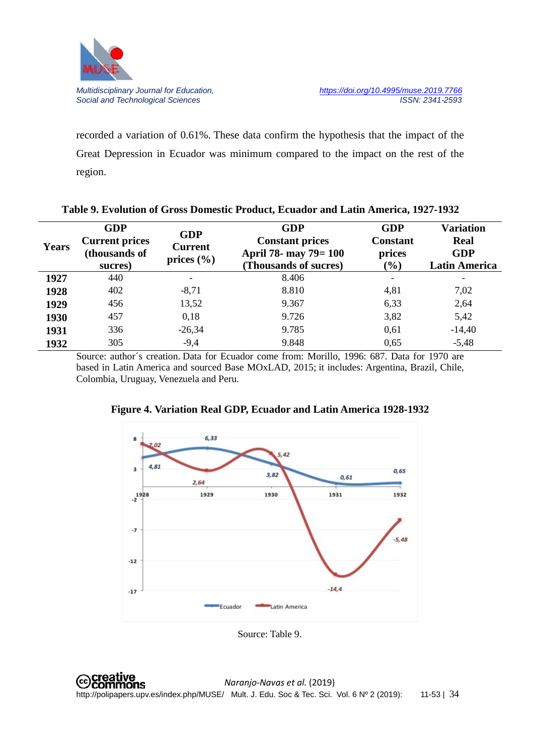

recorded a variation of 0.61%. These data confirm the hypothesis that the impact of the Great Depression in Ecuador was minimum compared to the impact on the rest of the region.

| <b>Years</b> | <b>GDP</b><br><b>Current prices</b><br>(thousands of<br>sucres) | <b>GDP</b><br><b>Current</b><br>prices $(\% )$ | <b>GDP</b><br><b>Constant prices</b><br>April 78- may 79= 100<br>(Thousands of sucres) | <b>GDP</b><br><b>Constant</b><br>prices<br>$\frac{1}{2}$ ( $\frac{1}{2}$ ) | <b>Variation</b><br>Real<br><b>GDP</b><br><b>Latin America</b> |
|--------------|-----------------------------------------------------------------|------------------------------------------------|----------------------------------------------------------------------------------------|----------------------------------------------------------------------------|----------------------------------------------------------------|
| 1927         | 440                                                             | -                                              | 8.406                                                                                  |                                                                            | $\overline{\phantom{a}}$                                       |
| 1928         | 402                                                             | $-8,71$                                        | 8.810                                                                                  | 4,81                                                                       | 7,02                                                           |
| 1929         | 456                                                             | 13,52                                          | 9.367                                                                                  | 6,33                                                                       | 2,64                                                           |
| 1930         | 457                                                             | 0,18                                           | 9.726                                                                                  | 3,82                                                                       | 5,42                                                           |
| 1931         | 336                                                             | $-26,34$                                       | 9.785                                                                                  | 0,61                                                                       | $-14,40$                                                       |
| 1932         | 305                                                             | $-9,4$                                         | 9.848                                                                                  | 0,65                                                                       | $-5,48$                                                        |

|  |  |  |  | Table 9. Evolution of Gross Domestic Product, Ecuador and Latin America, 1927-1932 |
|--|--|--|--|------------------------------------------------------------------------------------|
|  |  |  |  |                                                                                    |

Source: author´s creation. Data for Ecuador come from: Morillo, 1996: 687. Data for 1970 are based in Latin America and sourced Base MOxLAD, 2015; it includes: Argentina, Brazil, Chile, Colombia, Uruguay, Venezuela and Peru.



**Figure 4. Variation Real GDP, Ecuador and Latin America 1928-1932**

Source: Table 9.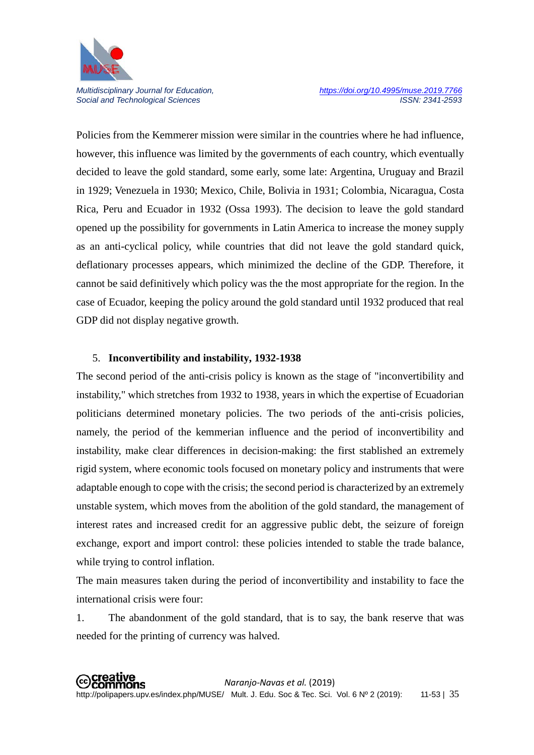

Policies from the Kemmerer mission were similar in the countries where he had influence, however, this influence was limited by the governments of each country, which eventually decided to leave the gold standard, some early, some late: Argentina, Uruguay and Brazil in 1929; Venezuela in 1930; Mexico, Chile, Bolivia in 1931; Colombia, Nicaragua, Costa Rica, Peru and Ecuador in 1932 (Ossa 1993). The decision to leave the gold standard opened up the possibility for governments in Latin America to increase the money supply as an anti-cyclical policy, while countries that did not leave the gold standard quick, deflationary processes appears, which minimized the decline of the GDP. Therefore, it cannot be said definitively which policy was the the most appropriate for the region. In the case of Ecuador, keeping the policy around the gold standard until 1932 produced that real GDP did not display negative growth.

#### 5. **Inconvertibility and instability, 1932-1938**

The second period of the anti-crisis policy is known as the stage of "inconvertibility and instability," which stretches from 1932 to 1938, years in which the expertise of Ecuadorian politicians determined monetary policies. The two periods of the anti-crisis policies, namely, the period of the kemmerian influence and the period of inconvertibility and instability, make clear differences in decision-making: the first stablished an extremely rigid system, where economic tools focused on monetary policy and instruments that were adaptable enough to cope with the crisis; the second period is characterized by an extremely unstable system, which moves from the abolition of the gold standard, the management of interest rates and increased credit for an aggressive public debt, the seizure of foreign exchange, export and import control: these policies intended to stable the trade balance, while trying to control inflation.

The main measures taken during the period of inconvertibility and instability to face the international crisis were four:

1. The abandonment of the gold standard, that is to say, the bank reserve that was needed for the printing of currency was halved.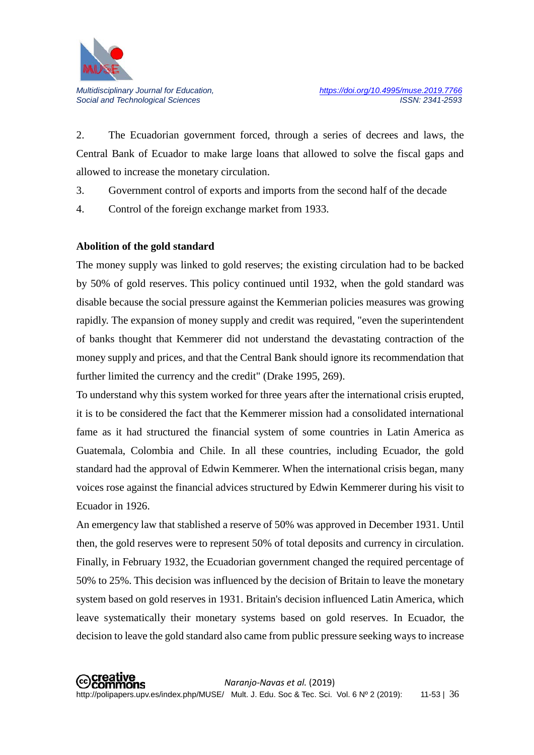

2. The Ecuadorian government forced, through a series of decrees and laws, the Central Bank of Ecuador to make large loans that allowed to solve the fiscal gaps and allowed to increase the monetary circulation.

- 3. Government control of exports and imports from the second half of the decade
- 4. Control of the foreign exchange market from 1933.

### **Abolition of the gold standard**

The money supply was linked to gold reserves; the existing circulation had to be backed by 50% of gold reserves. This policy continued until 1932, when the gold standard was disable because the social pressure against the Kemmerian policies measures was growing rapidly. The expansion of money supply and credit was required, "even the superintendent of banks thought that Kemmerer did not understand the devastating contraction of the money supply and prices, and that the Central Bank should ignore its recommendation that further limited the currency and the credit" (Drake 1995, 269).

To understand why this system worked for three years after the international crisis erupted, it is to be considered the fact that the Kemmerer mission had a consolidated international fame as it had structured the financial system of some countries in Latin America as Guatemala, Colombia and Chile. In all these countries, including Ecuador, the gold standard had the approval of Edwin Kemmerer. When the international crisis began, many voices rose against the financial advices structured by Edwin Kemmerer during his visit to Ecuador in 1926.

An emergency law that stablished a reserve of 50% was approved in December 1931. Until then, the gold reserves were to represent 50% of total deposits and currency in circulation. Finally, in February 1932, the Ecuadorian government changed the required percentage of 50% to 25%. This decision was influenced by the decision of Britain to leave the monetary system based on gold reserves in 1931. Britain's decision influenced Latin America, which leave systematically their monetary systems based on gold reserves. In Ecuador, the decision to leave the gold standard also came from public pressure seeking ways to increase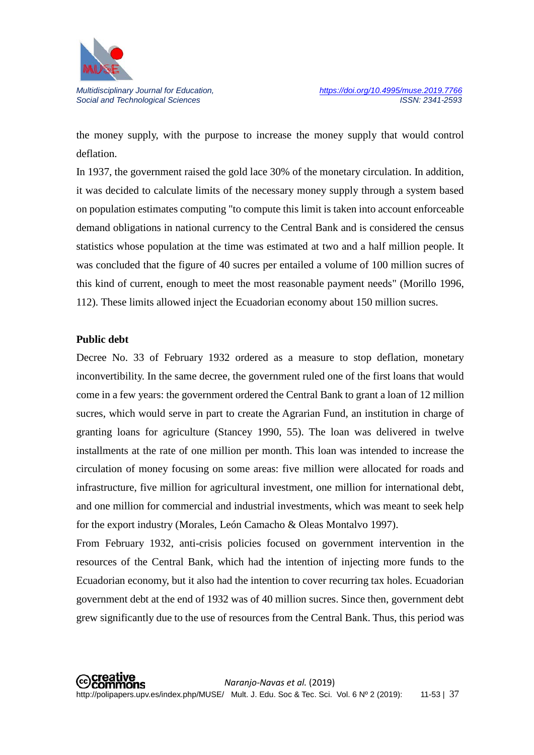

the money supply, with the purpose to increase the money supply that would control deflation.

In 1937, the government raised the gold lace 30% of the monetary circulation. In addition, it was decided to calculate limits of the necessary money supply through a system based on population estimates computing "to compute this limit is taken into account enforceable demand obligations in national currency to the Central Bank and is considered the census statistics whose population at the time was estimated at two and a half million people. It was concluded that the figure of 40 sucres per entailed a volume of 100 million sucres of this kind of current, enough to meet the most reasonable payment needs" (Morillo 1996, 112). These limits allowed inject the Ecuadorian economy about 150 million sucres.

#### **Public debt**

Decree No. 33 of February 1932 ordered as a measure to stop deflation, monetary inconvertibility. In the same decree, the government ruled one of the first loans that would come in a few years: the government ordered the Central Bank to grant a loan of 12 million sucres, which would serve in part to create the Agrarian Fund, an institution in charge of granting loans for agriculture (Stancey 1990, 55). The loan was delivered in twelve installments at the rate of one million per month. This loan was intended to increase the circulation of money focusing on some areas: five million were allocated for roads and infrastructure, five million for agricultural investment, one million for international debt, and one million for commercial and industrial investments, which was meant to seek help for the export industry (Morales, León Camacho & Oleas Montalvo 1997).

From February 1932, anti-crisis policies focused on government intervention in the resources of the Central Bank, which had the intention of injecting more funds to the Ecuadorian economy, but it also had the intention to cover recurring tax holes. Ecuadorian government debt at the end of 1932 was of 40 million sucres. Since then, government debt grew significantly due to the use of resources from the Central Bank. Thus, this period was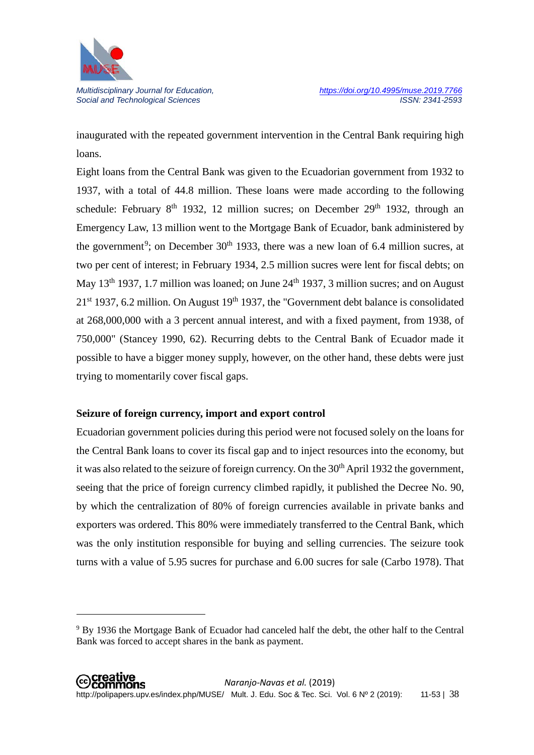

**.** 

Social and Technological Sciences

inaugurated with the repeated government intervention in the Central Bank requiring high loans.

Eight loans from the Central Bank was given to the Ecuadorian government from 1932 to 1937, with a total of 44.8 million. These loans were made according to the following schedule: February  $8<sup>th</sup>$  1932, 12 million sucres; on December 29<sup>th</sup> 1932, through an Emergency Law, 13 million went to the Mortgage Bank of Ecuador, bank administered by the government<sup>[9](#page-27-0)</sup>; on December  $30<sup>th</sup>$  1933, there was a new loan of 6.4 million sucres, at two per cent of interest; in February 1934, 2.5 million sucres were lent for fiscal debts; on May  $13<sup>th</sup>$  1937, 1.7 million was loaned; on June  $24<sup>th</sup>$  1937, 3 million sucres; and on August  $21<sup>st</sup>$  1937, 6.2 million. On August 19<sup>th</sup> 1937, the "Government debt balance is consolidated at 268,000,000 with a 3 percent annual interest, and with a fixed payment, from 1938, of 750,000" (Stancey 1990, 62). Recurring debts to the Central Bank of Ecuador made it possible to have a bigger money supply, however, on the other hand, these debts were just trying to momentarily cover fiscal gaps.

### **Seizure of foreign currency, import and export control**

Ecuadorian government policies during this period were not focused solely on the loans for the Central Bank loans to cover its fiscal gap and to inject resources into the economy, but it was also related to the seizure of foreign currency. On the 30<sup>th</sup> April 1932 the government, seeing that the price of foreign currency climbed rapidly, it published the Decree No. 90, by which the centralization of 80% of foreign currencies available in private banks and exporters was ordered. This 80% were immediately transferred to the Central Bank, which was the only institution responsible for buying and selling currencies. The seizure took turns with a value of 5.95 sucres for purchase and 6.00 sucres for sale (Carbo 1978). That

<span id="page-27-0"></span><sup>9</sup> By 1936 the Mortgage Bank of Ecuador had canceled half the debt, the other half to the Central Bank was forced to accept shares in the bank as payment.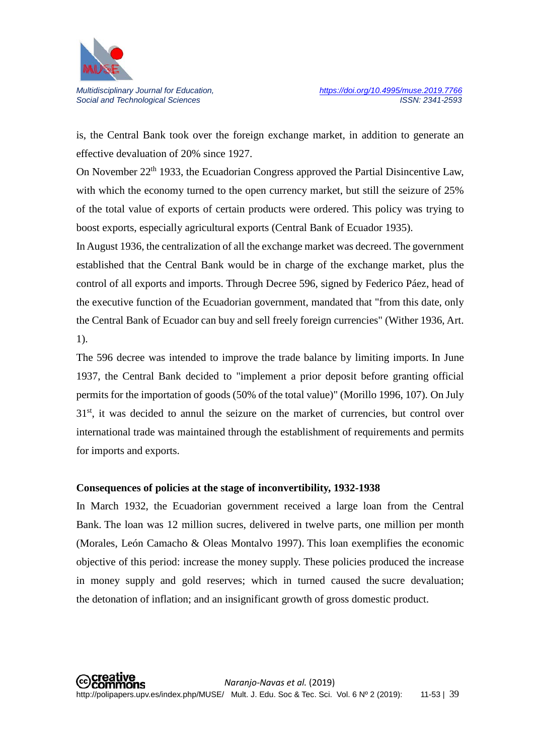

is, the Central Bank took over the foreign exchange market, in addition to generate an effective devaluation of 20% since 1927.

On November 22<sup>th</sup> 1933, the Ecuadorian Congress approved the Partial Disincentive Law, with which the economy turned to the open currency market, but still the seizure of 25% of the total value of exports of certain products were ordered. This policy was trying to boost exports, especially agricultural exports (Central Bank of Ecuador 1935).

In August 1936, the centralization of all the exchange market was decreed. The government established that the Central Bank would be in charge of the exchange market, plus the control of all exports and imports. Through Decree 596, signed by Federico Páez, head of the executive function of the Ecuadorian government, mandated that "from this date, only the Central Bank of Ecuador can buy and sell freely foreign currencies" (Wither 1936, Art. 1).

The 596 decree was intended to improve the trade balance by limiting imports. In June 1937, the Central Bank decided to "implement a prior deposit before granting official permits for the importation of goods (50% of the total value)" (Morillo 1996, 107). On July  $31<sup>st</sup>$ , it was decided to annul the seizure on the market of currencies, but control over international trade was maintained through the establishment of requirements and permits for imports and exports.

### **Consequences of policies at the stage of inconvertibility, 1932-1938**

In March 1932, the Ecuadorian government received a large loan from the Central Bank. The loan was 12 million sucres, delivered in twelve parts, one million per month (Morales, León Camacho & Oleas Montalvo 1997). This loan exemplifies the economic objective of this period: increase the money supply. These policies produced the increase in money supply and gold reserves; which in turned caused the sucre devaluation; the detonation of inflation; and an insignificant growth of gross domestic product.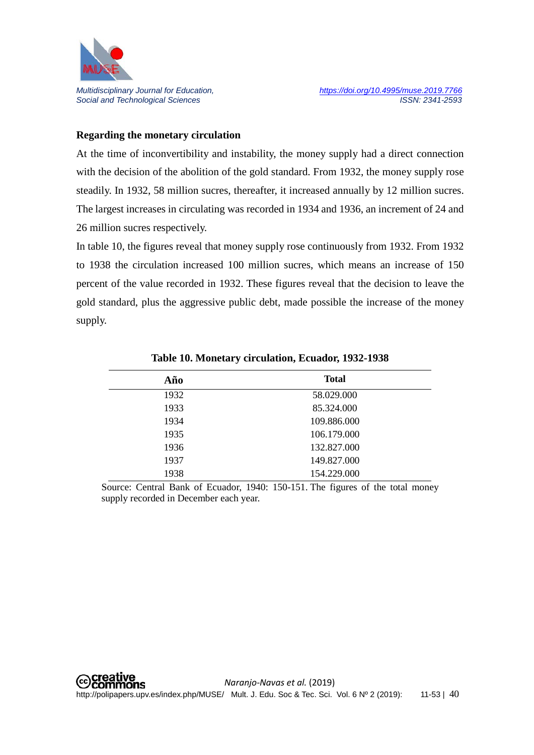

#### **Regarding the monetary circulation**

At the time of inconvertibility and instability, the money supply had a direct connection with the decision of the abolition of the gold standard. From 1932, the money supply rose steadily. In 1932, 58 million sucres, thereafter, it increased annually by 12 million sucres. The largest increases in circulating was recorded in 1934 and 1936, an increment of 24 and 26 million sucres respectively.

In table 10, the figures reveal that money supply rose continuously from 1932. From 1932 to 1938 the circulation increased 100 million sucres, which means an increase of 150 percent of the value recorded in 1932. These figures reveal that the decision to leave the gold standard, plus the aggressive public debt, made possible the increase of the money supply.

| Año  | <b>Total</b> |
|------|--------------|
| 1932 | 58.029.000   |
| 1933 | 85.324.000   |
| 1934 | 109.886.000  |
| 1935 | 106.179.000  |
| 1936 | 132.827.000  |
| 1937 | 149.827.000  |
| 1938 | 154.229.000  |

**Table 10. Monetary circulation, Ecuador, 1932-1938**

Source: Central Bank of Ecuador, 1940: 150-151. The figures of the total money supply recorded in December each year.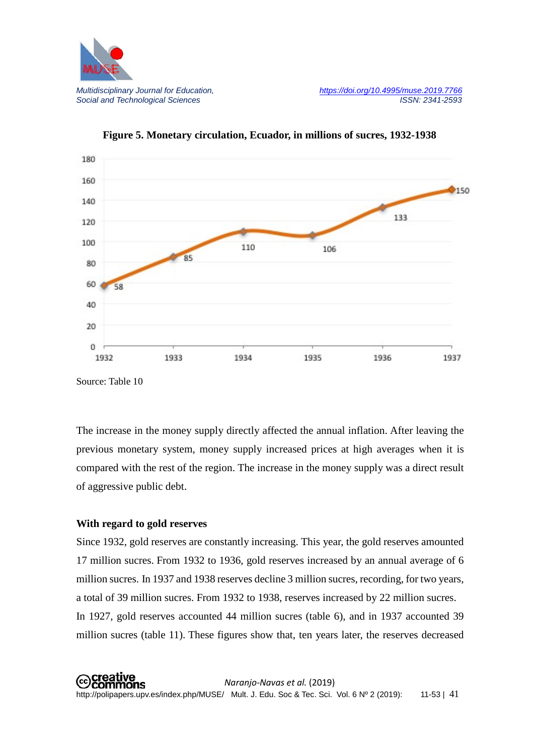



**Figure 5. Monetary circulation, Ecuador, in millions of sucres, 1932-1938**

Source: Table 10

The increase in the money supply directly affected the annual inflation. After leaving the previous monetary system, money supply increased prices at high averages when it is compared with the rest of the region. The increase in the money supply was a direct result of aggressive public debt.

### **With regard to gold reserves**

Since 1932, gold reserves are constantly increasing. This year, the gold reserves amounted 17 million sucres. From 1932 to 1936, gold reserves increased by an annual average of 6 million sucres. In 1937 and 1938 reserves decline 3 million sucres, recording, for two years, a total of 39 million sucres. From 1932 to 1938, reserves increased by 22 million sucres. In 1927, gold reserves accounted 44 million sucres (table 6), and in 1937 accounted 39 million sucres (table 11). These figures show that, ten years later, the reserves decreased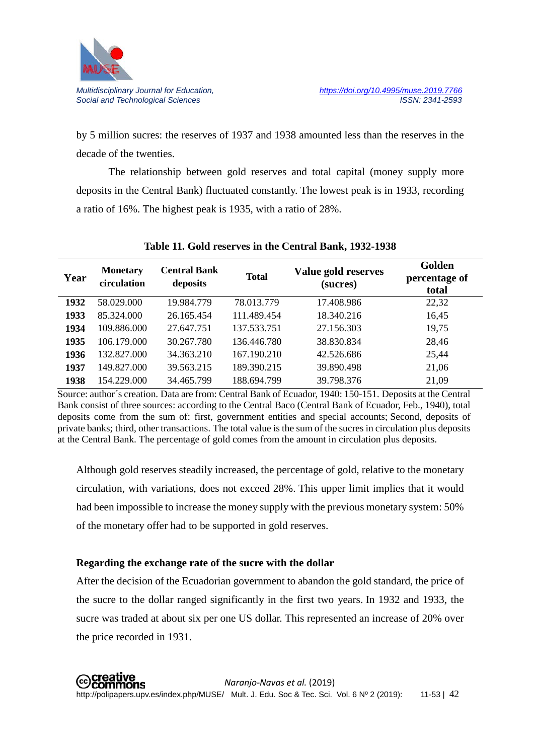

by 5 million sucres: the reserves of 1937 and 1938 amounted less than the reserves in the decade of the twenties.

The relationship between gold reserves and total capital (money supply more deposits in the Central Bank) fluctuated constantly. The lowest peak is in 1933, recording a ratio of 16%. The highest peak is 1935, with a ratio of 28%.

| Year | <b>Monetary</b><br>circulation | <b>Central Bank</b><br>deposits | <b>Total</b> | Value gold reserves<br>(sucres) | Golden<br>percentage of<br>total |
|------|--------------------------------|---------------------------------|--------------|---------------------------------|----------------------------------|
| 1932 | 58.029.000                     | 19.984.779                      | 78.013.779   | 17.408.986                      | 22,32                            |
| 1933 | 85.324.000                     | 26.165.454                      | 111.489.454  | 18.340.216                      | 16,45                            |
| 1934 | 109.886.000                    | 27.647.751                      | 137.533.751  | 27.156.303                      | 19,75                            |
| 1935 | 106.179.000                    | 30.267.780                      | 136,446,780  | 38.830.834                      | 28,46                            |
| 1936 | 132.827.000                    | 34.363.210                      | 167.190.210  | 42.526.686                      | 25,44                            |
| 1937 | 149.827.000                    | 39.563.215                      | 189.390.215  | 39.890.498                      | 21,06                            |
| 1938 | 154.229.000                    | 34.465.799                      | 188.694.799  | 39.798.376                      | 21,09                            |

### **Table 11. Gold reserves in the Central Bank, 1932-1938**

Source: author´s creation. Data are from: Central Bank of Ecuador, 1940: 150-151. Deposits at the Central Bank consist of three sources: according to the Central Baco (Central Bank of Ecuador, Feb., 1940), total deposits come from the sum of: first, government entities and special accounts; Second, deposits of private banks; third, other transactions. The total value is the sum of the sucres in circulation plus deposits at the Central Bank. The percentage of gold comes from the amount in circulation plus deposits.

Although gold reserves steadily increased, the percentage of gold, relative to the monetary circulation, with variations, does not exceed 28%. This upper limit implies that it would had been impossible to increase the money supply with the previous monetary system: 50% of the monetary offer had to be supported in gold reserves.

### **Regarding the exchange rate of the sucre with the dollar**

After the decision of the Ecuadorian government to abandon the gold standard, the price of the sucre to the dollar ranged significantly in the first two years. In 1932 and 1933, the sucre was traded at about six per one US dollar. This represented an increase of 20% over the price recorded in 1931.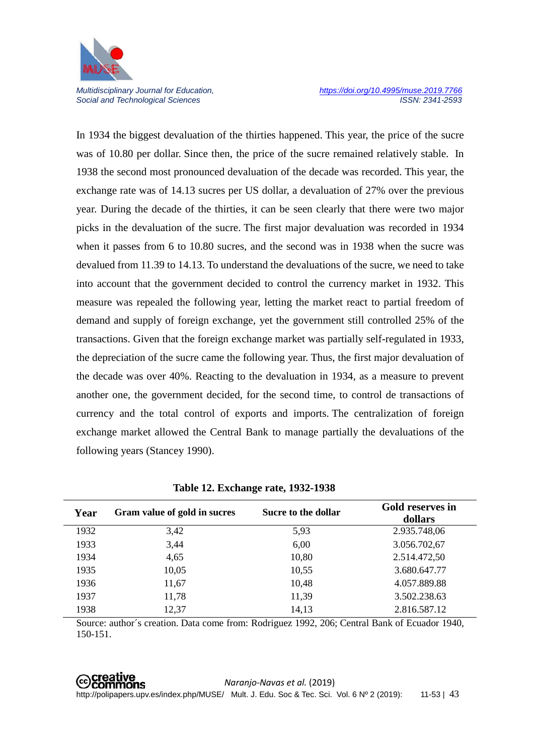

In 1934 the biggest devaluation of the thirties happened. This year, the price of the sucre was of 10.80 per dollar. Since then, the price of the sucre remained relatively stable. In 1938 the second most pronounced devaluation of the decade was recorded. This year, the exchange rate was of 14.13 sucres per US dollar, a devaluation of 27% over the previous year. During the decade of the thirties, it can be seen clearly that there were two major picks in the devaluation of the sucre. The first major devaluation was recorded in 1934 when it passes from 6 to 10.80 sucres, and the second was in 1938 when the sucre was devalued from 11.39 to 14.13. To understand the devaluations of the sucre, we need to take into account that the government decided to control the currency market in 1932. This measure was repealed the following year, letting the market react to partial freedom of demand and supply of foreign exchange, yet the government still controlled 25% of the transactions. Given that the foreign exchange market was partially self-regulated in 1933, the depreciation of the sucre came the following year. Thus, the first major devaluation of the decade was over 40%. Reacting to the devaluation in 1934, as a measure to prevent another one, the government decided, for the second time, to control de transactions of currency and the total control of exports and imports. The centralization of foreign exchange market allowed the Central Bank to manage partially the devaluations of the following years (Stancey 1990).

| Year | Gram value of gold in sucres | Sucre to the dollar | Gold reserves in<br>dollars |
|------|------------------------------|---------------------|-----------------------------|
| 1932 | 3,42                         | 5,93                | 2.935.748,06                |
| 1933 | 3,44                         | 6,00                | 3.056.702,67                |
| 1934 | 4,65                         | 10,80               | 2.514.472,50                |
| 1935 | 10,05                        | 10,55               | 3.680.647.77                |
| 1936 | 11,67                        | 10,48               | 4.057.889.88                |
| 1937 | 11,78                        | 11,39               | 3.502.238.63                |
| 1938 | 12,37                        | 14,13               | 2.816.587.12                |

**Table 12. Exchange rate, 1932-1938**

Source: author´s creation. Data come from: Rodriguez 1992, 206; Central Bank of Ecuador 1940, 150-151.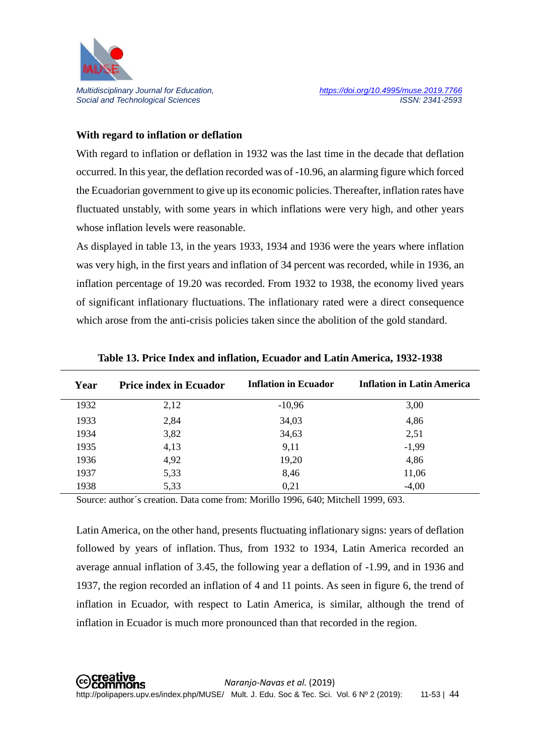

#### **With regard to inflation or deflation**

With regard to inflation or deflation in 1932 was the last time in the decade that deflation occurred. In this year, the deflation recorded was of -10.96, an alarming figure which forced the Ecuadorian government to give up its economic policies. Thereafter, inflation rates have fluctuated unstably, with some years in which inflations were very high, and other years whose inflation levels were reasonable.

As displayed in table 13, in the years 1933, 1934 and 1936 were the years where inflation was very high, in the first years and inflation of 34 percent was recorded, while in 1936, an inflation percentage of 19.20 was recorded. From 1932 to 1938, the economy lived years of significant inflationary fluctuations. The inflationary rated were a direct consequence which arose from the anti-crisis policies taken since the abolition of the gold standard.

| Year | <b>Price index in Ecuador</b> | <b>Inflation in Ecuador</b> | <b>Inflation in Latin America</b> |
|------|-------------------------------|-----------------------------|-----------------------------------|
| 1932 | 2,12                          | $-10,96$                    | 3,00                              |
| 1933 | 2,84                          | 34,03                       | 4,86                              |
| 1934 | 3,82                          | 34,63                       | 2,51                              |
| 1935 | 4,13                          | 9,11                        | $-1,99$                           |
| 1936 | 4,92                          | 19,20                       | 4,86                              |
| 1937 | 5,33                          | 8,46                        | 11,06                             |
| 1938 | 5,33                          | 0,21                        | $-4,00$                           |

**Table 13. Price Index and inflation, Ecuador and Latin America, 1932-1938**

Source: author´s creation. Data come from: Morillo 1996, 640; Mitchell 1999, 693.

Latin America, on the other hand, presents fluctuating inflationary signs: years of deflation followed by years of inflation. Thus, from 1932 to 1934, Latin America recorded an average annual inflation of 3.45, the following year a deflation of -1.99, and in 1936 and 1937, the region recorded an inflation of 4 and 11 points. As seen in figure 6, the trend of inflation in Ecuador, with respect to Latin America, is similar, although the trend of inflation in Ecuador is much more pronounced than that recorded in the region.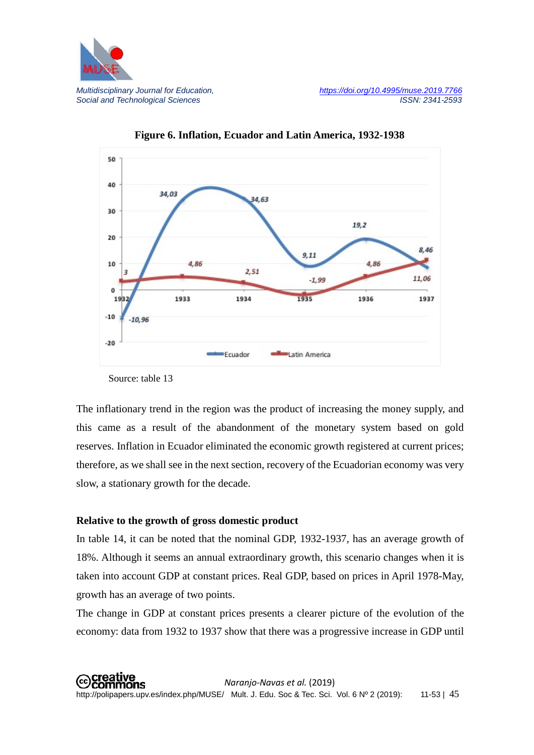



**Figure 6. Inflation, Ecuador and Latin America, 1932-1938**

Source: table 13

The inflationary trend in the region was the product of increasing the money supply, and this came as a result of the abandonment of the monetary system based on gold reserves. Inflation in Ecuador eliminated the economic growth registered at current prices; therefore, as we shall see in the next section, recovery of the Ecuadorian economy was very slow, a stationary growth for the decade.

### **Relative to the growth of gross domestic product**

In table 14, it can be noted that the nominal GDP, 1932-1937, has an average growth of 18%. Although it seems an annual extraordinary growth, this scenario changes when it is taken into account GDP at constant prices. Real GDP, based on prices in April 1978-May, growth has an average of two points.

The change in GDP at constant prices presents a clearer picture of the evolution of the economy: data from 1932 to 1937 show that there was a progressive increase in GDP until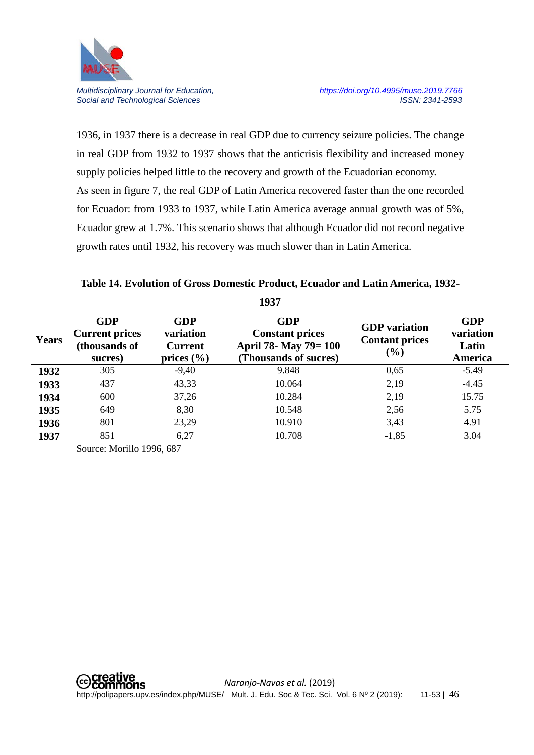

1936, in 1937 there is a decrease in real GDP due to currency seizure policies. The change in real GDP from 1932 to 1937 shows that the anticrisis flexibility and increased money supply policies helped little to the recovery and growth of the Ecuadorian economy. As seen in figure 7, the real GDP of Latin America recovered faster than the one recorded for Ecuador: from 1933 to 1937, while Latin America average annual growth was of 5%, Ecuador grew at 1.7%. This scenario shows that although Ecuador did not record negative growth rates until 1932, his recovery was much slower than in Latin America.

# **Table 14. Evolution of Gross Domestic Product, Ecuador and Latin America, 1932- 1937**

|              |                                                                 |                                                             | 17J I                                                                                  |                                                         |                                             |
|--------------|-----------------------------------------------------------------|-------------------------------------------------------------|----------------------------------------------------------------------------------------|---------------------------------------------------------|---------------------------------------------|
| <b>Years</b> | <b>GDP</b><br><b>Current prices</b><br>(thousands of<br>sucres) | <b>GDP</b><br>variation<br><b>Current</b><br>prices $(\% )$ | <b>GDP</b><br><b>Constant prices</b><br>April 78- May 79= 100<br>(Thousands of sucres) | <b>GDP</b> variation<br><b>Contant prices</b><br>$(\%)$ | <b>GDP</b><br>variation<br>Latin<br>America |
| 1932         | 305                                                             | $-9,40$                                                     | 9.848                                                                                  | 0,65                                                    | $-5.49$                                     |
| 1933         | 437                                                             | 43,33                                                       | 10.064                                                                                 | 2,19                                                    | $-4.45$                                     |
| 1934         | 600                                                             | 37,26                                                       | 10.284                                                                                 | 2,19                                                    | 15.75                                       |
| 1935         | 649                                                             | 8,30                                                        | 10.548                                                                                 | 2,56                                                    | 5.75                                        |
| 1936         | 801                                                             | 23,29                                                       | 10.910                                                                                 | 3,43                                                    | 4.91                                        |
| 1937         | 851                                                             | 6,27                                                        | 10.708                                                                                 | $-1,85$                                                 | 3.04                                        |

Source: Morillo 1996, 687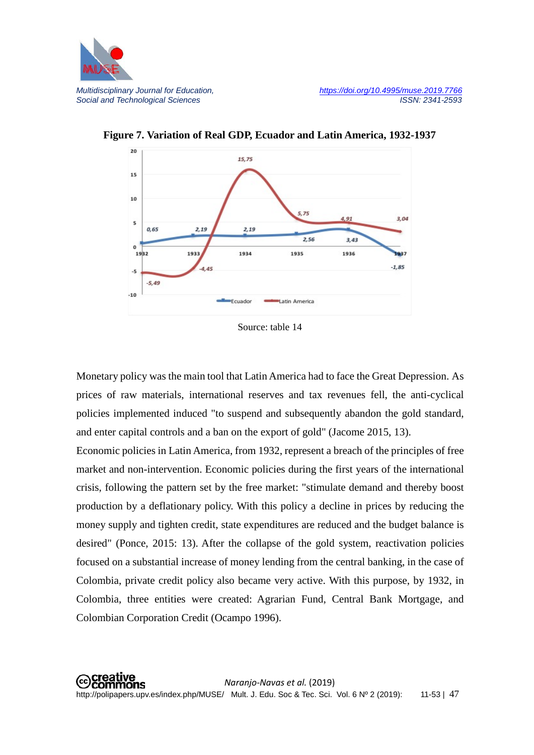



**Figure 7. Variation of Real GDP, Ecuador and Latin America, 1932-1937**

Source: table 14

Monetary policy was the main tool that Latin America had to face the Great Depression. As prices of raw materials, international reserves and tax revenues fell, the anti-cyclical policies implemented induced "to suspend and subsequently abandon the gold standard, and enter capital controls and a ban on the export of gold" (Jacome 2015, 13).

Economic policies in Latin America, from 1932, represent a breach of the principles of free market and non-intervention. Economic policies during the first years of the international crisis, following the pattern set by the free market: "stimulate demand and thereby boost production by a deflationary policy. With this policy a decline in prices by reducing the money supply and tighten credit, state expenditures are reduced and the budget balance is desired" (Ponce, 2015: 13). After the collapse of the gold system, reactivation policies focused on a substantial increase of money lending from the central banking, in the case of Colombia, private credit policy also became very active. With this purpose, by 1932, in Colombia, three entities were created: Agrarian Fund, Central Bank Mortgage, and Colombian Corporation Credit (Ocampo 1996).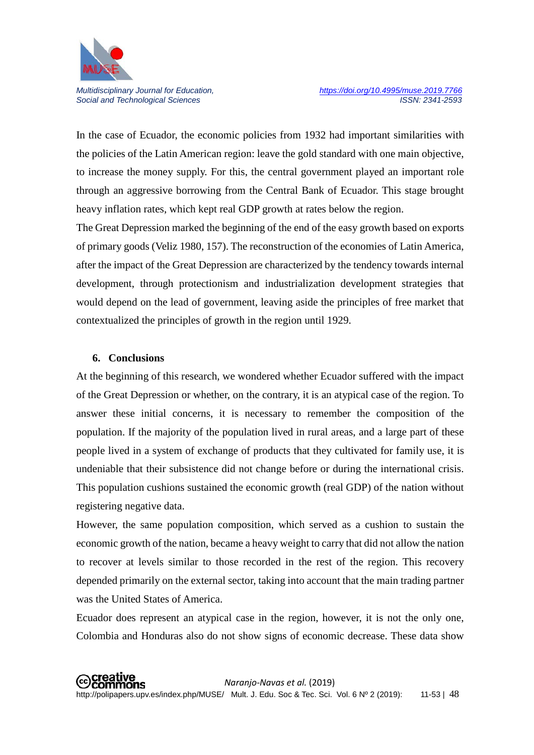

In the case of Ecuador, the economic policies from 1932 had important similarities with the policies of the Latin American region: leave the gold standard with one main objective, to increase the money supply. For this, the central government played an important role through an aggressive borrowing from the Central Bank of Ecuador. This stage brought heavy inflation rates, which kept real GDP growth at rates below the region.

The Great Depression marked the beginning of the end of the easy growth based on exports of primary goods (Veliz 1980, 157). The reconstruction of the economies of Latin America, after the impact of the Great Depression are characterized by the tendency towards internal development, through protectionism and industrialization development strategies that would depend on the lead of government, leaving aside the principles of free market that contextualized the principles of growth in the region until 1929.

#### **6. Conclusions**

At the beginning of this research, we wondered whether Ecuador suffered with the impact of the Great Depression or whether, on the contrary, it is an atypical case of the region. To answer these initial concerns, it is necessary to remember the composition of the population. If the majority of the population lived in rural areas, and a large part of these people lived in a system of exchange of products that they cultivated for family use, it is undeniable that their subsistence did not change before or during the international crisis. This population cushions sustained the economic growth (real GDP) of the nation without registering negative data.

However, the same population composition, which served as a cushion to sustain the economic growth of the nation, became a heavy weight to carry that did not allow the nation to recover at levels similar to those recorded in the rest of the region. This recovery depended primarily on the external sector, taking into account that the main trading partner was the United States of America.

Ecuador does represent an atypical case in the region, however, it is not the only one, Colombia and Honduras also do not show signs of economic decrease. These data show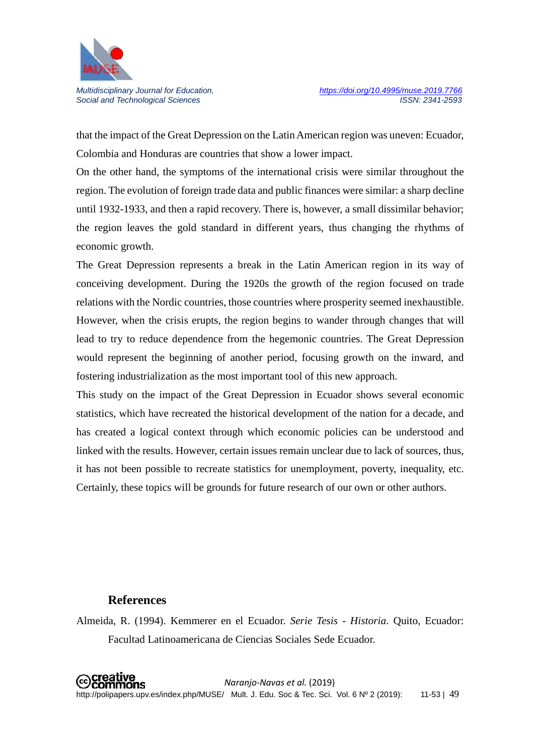

that the impact of the Great Depression on the Latin American region was uneven: Ecuador, Colombia and Honduras are countries that show a lower impact.

On the other hand, the symptoms of the international crisis were similar throughout the region. The evolution of foreign trade data and public finances were similar: a sharp decline until 1932-1933, and then a rapid recovery. There is, however, a small dissimilar behavior; the region leaves the gold standard in different years, thus changing the rhythms of economic growth.

The Great Depression represents a break in the Latin American region in its way of conceiving development. During the 1920s the growth of the region focused on trade relations with the Nordic countries, those countries where prosperity seemed inexhaustible. However, when the crisis erupts, the region begins to wander through changes that will lead to try to reduce dependence from the hegemonic countries. The Great Depression would represent the beginning of another period, focusing growth on the inward, and fostering industrialization as the most important tool of this new approach.

This study on the impact of the Great Depression in Ecuador shows several economic statistics, which have recreated the historical development of the nation for a decade, and has created a logical context through which economic policies can be understood and linked with the results. However, certain issues remain unclear due to lack of sources, thus, it has not been possible to recreate statistics for unemployment, poverty, inequality, etc. Certainly, these topics will be grounds for future research of our own or other authors.

### **References**

Almeida, R. (1994). Kemmerer en el Ecuador. *Serie Tesis - Historia*. Quito, Ecuador: Facultad Latinoamericana de Ciencias Sociales Sede Ecuador.

 *Naranjo-Navas et al.* (2019) http://polipapers.upv.es/index.php/MUSE/ Mult. J. Edu. Soc & Tec. Sci. Vol. 6 Nº 2 (2019): 11-53 | 49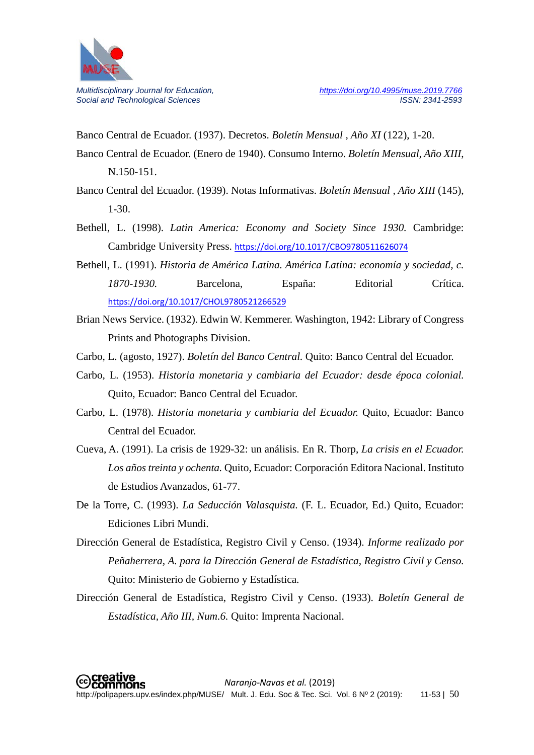

Banco Central de Ecuador. (1937). Decretos. *Boletín Mensual , Año XI* (122), 1-20.

- Banco Central de Ecuador. (Enero de 1940). Consumo Interno. *Boletín Mensual, Año XIII*, N.150-151.
- Banco Central del Ecuador. (1939). Notas Informativas. *Boletín Mensual , Año XIII* (145), 1-30.
- Bethell, L. (1998). *Latin America: Economy and Society Since 1930.* Cambridge: Cambridge University Press. <https://doi.org/10.1017/CBO9780511626074>
- Bethell, L. (1991). *Historia de América Latina. América Latina: economía y sociedad, c. 1870-1930.* Barcelona, España: Editorial Crítica. <https://doi.org/10.1017/CHOL9780521266529>
- Brian News Service. (1932). Edwin W. Kemmerer. Washington, 1942: Library of Congress Prints and Photographs Division.
- Carbo, L. (agosto, 1927). *Boletín del Banco Central.* Quito: Banco Central del Ecuador.
- Carbo, L. (1953). *Historia monetaria y cambiaria del Ecuador: desde época colonial.* Quito, Ecuador: Banco Central del Ecuador.
- Carbo, L. (1978). *Historia monetaria y cambiaria del Ecuador.* Quito, Ecuador: Banco Central del Ecuador.
- Cueva, A. (1991). La crisis de 1929-32: un análisis. En R. Thorp, *La crisis en el Ecuador. Los años treinta y ochenta.* Quito, Ecuador: Corporación Editora Nacional. Instituto de Estudios Avanzados, 61-77.
- De la Torre, C. (1993). *La Seducción Valasquista.* (F. L. Ecuador, Ed.) Quito, Ecuador: Ediciones Libri Mundi.
- Dirección General de Estadística, Registro Civil y Censo. (1934). *Informe realizado por Peñaherrera, A. para la Dirección General de Estadística, Registro Civil y Censo.* Quito: Ministerio de Gobierno y Estadística.
- Dirección General de Estadística, Registro Civil y Censo. (1933). *Boletín General de Estadística, Año III, Num.6.* Quito: Imprenta Nacional.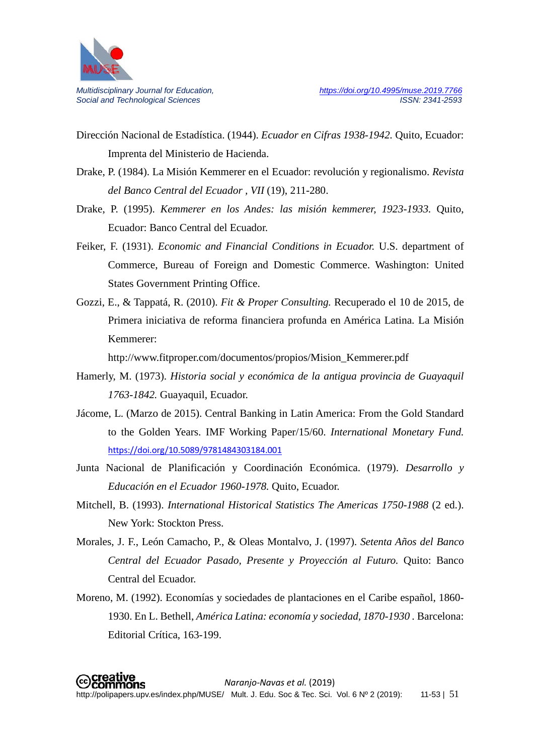

- Dirección Nacional de Estadística. (1944). *Ecuador en Cifras 1938-1942.* Quito, Ecuador: Imprenta del Ministerio de Hacienda.
- Drake, P. (1984). La Misión Kemmerer en el Ecuador: revolución y regionalismo. *Revista del Banco Central del Ecuador , VII* (19), 211-280.
- Drake, P. (1995). *Kemmerer en los Andes: las misión kemmerer, 1923-1933.* Quito, Ecuador: Banco Central del Ecuador.
- Feiker, F. (1931). *Economic and Financial Conditions in Ecuador.* U.S. department of Commerce, Bureau of Foreign and Domestic Commerce. Washington: United States Government Printing Office.
- Gozzi, E., & Tappatá, R. (2010). *Fit & Proper Consulting.* Recuperado el 10 de 2015, de Primera iniciativa de reforma financiera profunda en América Latina. La Misión Kemmerer:

http://www.fitproper.com/documentos/propios/Mision\_Kemmerer.pdf

- Hamerly, M. (1973). *Historia social y económica de la antigua provincia de Guayaquil 1763-1842.* Guayaquil, Ecuador.
- Jácome, L. (Marzo de 2015). Central Banking in Latin America: From the Gold Standard to the Golden Years. IMF Working Paper/15/60. *International Monetary Fund.* <https://doi.org/10.5089/9781484303184.001>
- Junta Nacional de Planificación y Coordinación Económica. (1979). *Desarrollo y Educación en el Ecuador 1960-1978.* Quito, Ecuador.
- Mitchell, B. (1993). *International Historical Statistics The Americas 1750-1988* (2 ed.). New York: Stockton Press.
- Morales, J. F., León Camacho, P., & Oleas Montalvo, J. (1997). *Setenta Años del Banco Central del Ecuador Pasado, Presente y Proyección al Futuro.* Quito: Banco Central del Ecuador.
- Moreno, M. (1992). Economías y sociedades de plantaciones en el Caribe español, 1860- 1930. En L. Bethell, *América Latina: economía y sociedad, 1870-1930 .* Barcelona: Editorial Crítica, 163-199.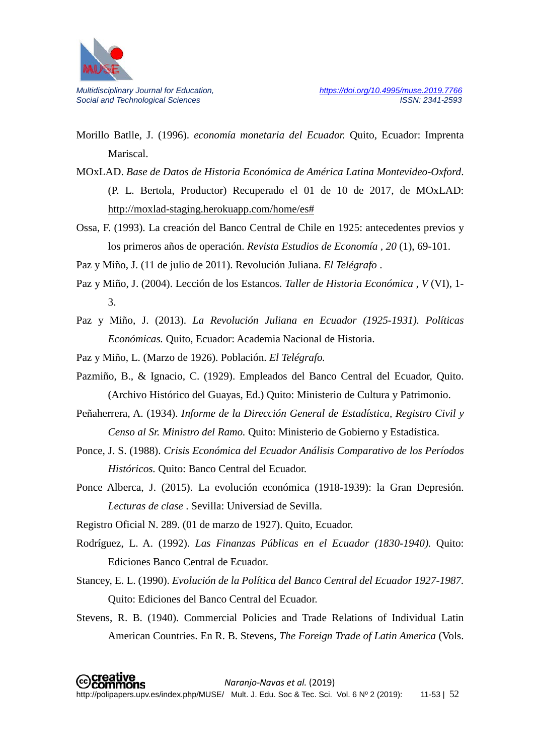

Morillo Batlle, J. (1996). *economía monetaria del Ecuador.* Quito, Ecuador: Imprenta Mariscal.

MOxLAD. *Base de Datos de Historia Económica de América Latina Montevideo-Oxford*. (P. L. Bertola, Productor) Recuperado el 01 de 10 de 2017, de MOxLAD: [http://moxlad-staging.herokuapp.com/home/es#](http://moxlad-staging.herokuapp.com/home/es)

Ossa, F. (1993). La creación del Banco Central de Chile en 1925: antecedentes previos y los primeros años de operación. *Revista Estudios de Economía , 20* (1), 69-101.

Paz y Miño, J. (11 de julio de 2011). Revolución Juliana. *El Telégrafo* .

- Paz y Miño, J. (2004). Lección de los Estancos. *Taller de Historia Económica , V* (VI), 1- 3.
- Paz y Miño, J. (2013). *La Revolución Juliana en Ecuador (1925-1931). Políticas Económicas.* Quito, Ecuador: Academia Nacional de Historia.

Paz y Miño, L. (Marzo de 1926). Población. *El Telégrafo.*

- Pazmiño, B., & Ignacio, C. (1929). Empleados del Banco Central del Ecuador, Quito. (Archivo Histórico del Guayas, Ed.) Quito: Ministerio de Cultura y Patrimonio.
- Peñaherrera, A. (1934). *Informe de la Dirección General de Estadística, Registro Civil y Censo al Sr. Ministro del Ramo.* Quito: Ministerio de Gobierno y Estadística.
- Ponce, J. S. (1988). *Crisis Económica del Ecuador Análisis Comparativo de los Períodos Históricos.* Quito: Banco Central del Ecuador.
- Ponce Alberca, J. (2015). La evolución económica (1918-1939): la Gran Depresión. *Lecturas de clase* . Sevilla: Universiad de Sevilla.

Registro Oficial N. 289. (01 de marzo de 1927). Quito, Ecuador.

- Rodríguez, L. A. (1992). *Las Finanzas Públicas en el Ecuador (1830-1940).* Quito: Ediciones Banco Central de Ecuador.
- Stancey, E. L. (1990). *Evolución de la Política del Banco Central del Ecuador 1927-1987.* Quito: Ediciones del Banco Central del Ecuador.
- Stevens, R. B. (1940). Commercial Policies and Trade Relations of Individual Latin American Countries. En R. B. Stevens, *The Foreign Trade of Latin America* (Vols.

creative *Naranjo-Navas et al.* (2019) commons http://polipapers.upv.es/index.php/MUSE/ Mult. J. Edu. Soc & Tec. Sci. Vol. 6 Nº 2 (2019): 11-53 | 52